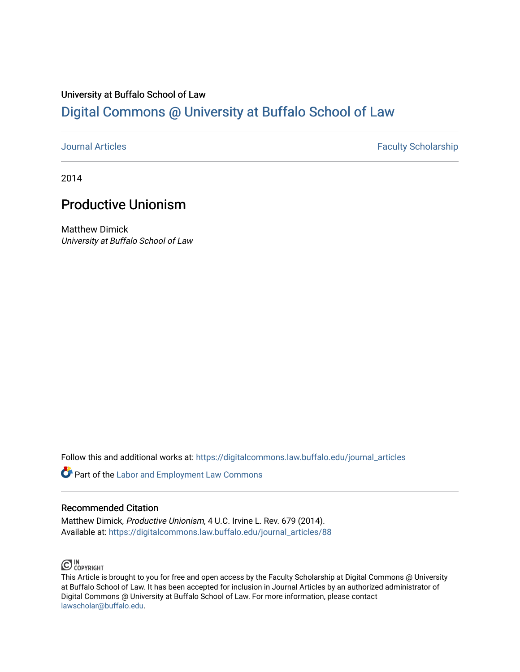# University at Buffalo School of Law [Digital Commons @ University at Buffalo School of Law](https://digitalcommons.law.buffalo.edu/)

[Journal Articles](https://digitalcommons.law.buffalo.edu/journal_articles) **Faculty Scholarship Faculty Scholarship** 

2014

# Productive Unionism

Matthew Dimick University at Buffalo School of Law

Follow this and additional works at: [https://digitalcommons.law.buffalo.edu/journal\\_articles](https://digitalcommons.law.buffalo.edu/journal_articles?utm_source=digitalcommons.law.buffalo.edu%2Fjournal_articles%2F88&utm_medium=PDF&utm_campaign=PDFCoverPages) 

**Part of the [Labor and Employment Law Commons](http://network.bepress.com/hgg/discipline/909?utm_source=digitalcommons.law.buffalo.edu%2Fjournal_articles%2F88&utm_medium=PDF&utm_campaign=PDFCoverPages)** 

# Recommended Citation

Matthew Dimick, Productive Unionism, 4 U.C. Irvine L. Rev. 679 (2014). Available at: [https://digitalcommons.law.buffalo.edu/journal\\_articles/88](https://digitalcommons.law.buffalo.edu/journal_articles/88?utm_source=digitalcommons.law.buffalo.edu%2Fjournal_articles%2F88&utm_medium=PDF&utm_campaign=PDFCoverPages) 



This Article is brought to you for free and open access by the Faculty Scholarship at Digital Commons @ University at Buffalo School of Law. It has been accepted for inclusion in Journal Articles by an authorized administrator of Digital Commons @ University at Buffalo School of Law. For more information, please contact [lawscholar@buffalo.edu](mailto:lawscholar@buffalo.edu).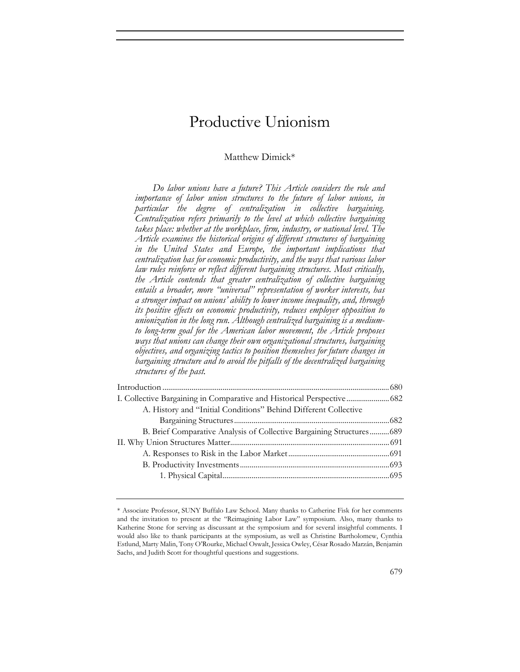# Productive Unionism

## Matthew Dimick\*

*Do labor unions have a future? This Article considers the role and importance of labor union structures to the future of labor unions, in particular the degree of centralization in collective bargaining. Centralization refers primarily to the level at which collective bargaining takes place: whether at the workplace, firm, industry, or national level. The Article examines the historical origins of different structures of bargaining in the United States and Europe, the important implications that centralization has for economic productivity, and the ways that various labor law rules reinforce or reflect different bargaining structures. Most critically, the Article contends that greater centralization of collective bargaining entails a broader, more "universal" representation of worker interests, has a stronger impact on unions' ability to lower income inequality, and, through its positive effects on economic productivity, reduces employer opposition to unionization in the long run. Although centralized bargaining is a mediumto long-term goal for the American labor movement, the Article proposes ways that unions can change their own organizational structures, bargaining objectives, and organizing tactics to position themselves for future changes in bargaining structure and to avoid the pitfalls of the decentralized bargaining structures of the past.* 

| I. Collective Bargaining in Comparative and Historical Perspective 682 |  |
|------------------------------------------------------------------------|--|
| A. History and "Initial Conditions" Behind Different Collective        |  |
|                                                                        |  |
| B. Brief Comparative Analysis of Collective Bargaining Structures 689  |  |
|                                                                        |  |
|                                                                        |  |
|                                                                        |  |
|                                                                        |  |
|                                                                        |  |

<sup>\*</sup> Associate Professor, SUNY Buffalo Law School. Many thanks to Catherine Fisk for her comments and the invitation to present at the "Reimagining Labor Law" symposium. Also, many thanks to Katherine Stone for serving as discussant at the symposium and for several insightful comments. I would also like to thank participants at the symposium, as well as Christine Bartholomew, Cynthia Estlund, Marty Malin, Tony O'Rourke, Michael Oswalt, Jessica Owley, César Rosado Marzán, Benjamin Sachs, and Judith Scott for thoughtful questions and suggestions.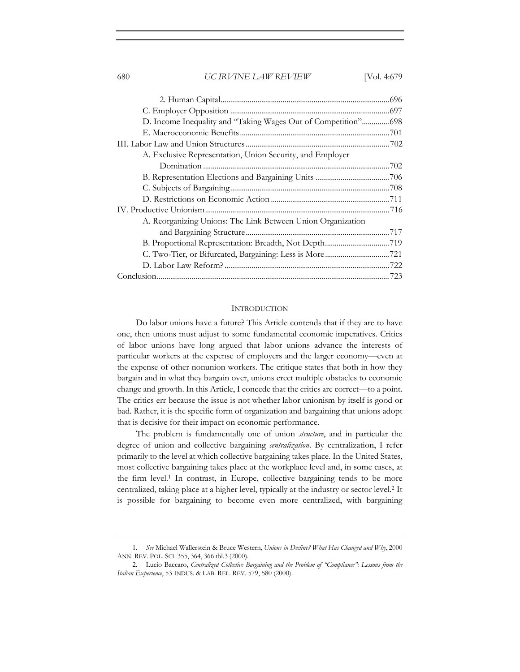| A. Exclusive Representation, Union Security, and Employer   |  |
|-------------------------------------------------------------|--|
|                                                             |  |
|                                                             |  |
|                                                             |  |
|                                                             |  |
|                                                             |  |
| A. Reorganizing Unions: The Link Between Union Organization |  |
|                                                             |  |
|                                                             |  |
|                                                             |  |
|                                                             |  |
|                                                             |  |

#### **INTRODUCTION**

Do labor unions have a future? This Article contends that if they are to have one, then unions must adjust to some fundamental economic imperatives. Critics of labor unions have long argued that labor unions advance the interests of particular workers at the expense of employers and the larger economy—even at the expense of other nonunion workers. The critique states that both in how they bargain and in what they bargain over, unions erect multiple obstacles to economic change and growth. In this Article, I concede that the critics are correct—to a point. The critics err because the issue is not whether labor unionism by itself is good or bad. Rather, it is the specific form of organization and bargaining that unions adopt that is decisive for their impact on economic performance.

The problem is fundamentally one of union *structure*, and in particular the degree of union and collective bargaining *centralization*. By centralization, I refer primarily to the level at which collective bargaining takes place. In the United States, most collective bargaining takes place at the workplace level and, in some cases, at the firm level.1 In contrast, in Europe, collective bargaining tends to be more centralized, taking place at a higher level, typically at the industry or sector level.2 It is possible for bargaining to become even more centralized, with bargaining

<sup>1</sup>*. See* Michael Wallerstein & Bruce Western, *Unions in Decline? What Has Changed and Why*, 2000 ANN. REV. POL. SCI. 355, 364, 366 tbl.3 (2000).

<sup>2.</sup> Lucio Baccaro, *Centralized Collective Bargaining and the Problem of "Compliance": Lessons from the Italian Experience*, 53 INDUS. & LAB. REL. REV. 579, 580 (2000).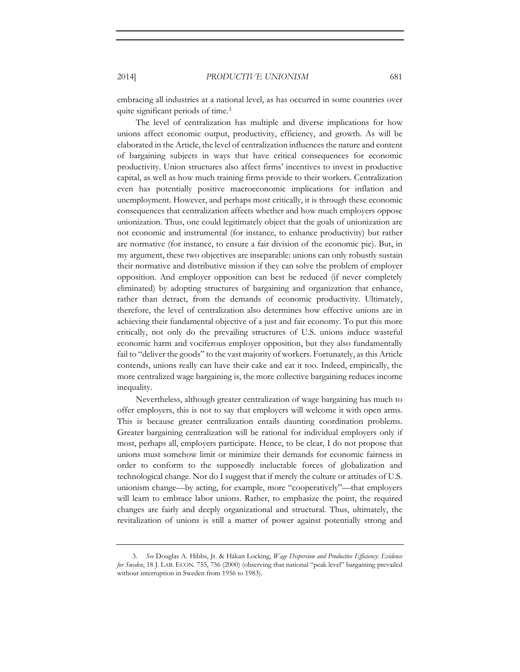embracing all industries at a national level, as has occurred in some countries over quite significant periods of time.<sup>3</sup>

The level of centralization has multiple and diverse implications for how unions affect economic output, productivity, efficiency, and growth. As will be elaborated in the Article, the level of centralization influences the nature and content of bargaining subjects in ways that have critical consequences for economic productivity. Union structures also affect firms' incentives to invest in productive capital, as well as how much training firms provide to their workers. Centralization even has potentially positive macroeconomic implications for inflation and unemployment. However, and perhaps most critically, it is through these economic consequences that centralization affects whether and how much employers oppose unionization. Thus, one could legitimately object that the goals of unionization are not economic and instrumental (for instance, to enhance productivity) but rather are normative (for instance, to ensure a fair division of the economic pie). But, in my argument, these two objectives are inseparable: unions can only robustly sustain their normative and distributive mission if they can solve the problem of employer opposition. And employer opposition can best be reduced (if never completely eliminated) by adopting structures of bargaining and organization that enhance, rather than detract, from the demands of economic productivity. Ultimately, therefore, the level of centralization also determines how effective unions are in achieving their fundamental objective of a just and fair economy. To put this more critically, not only do the prevailing structures of U.S. unions induce wasteful economic harm and vociferous employer opposition, but they also fundamentally fail to "deliver the goods" to the vast majority of workers. Fortunately, as this Article contends, unions really can have their cake and eat it too. Indeed, empirically, the more centralized wage bargaining is, the more collective bargaining reduces income inequality.

Nevertheless, although greater centralization of wage bargaining has much to offer employers, this is not to say that employers will welcome it with open arms. This is because greater centralization entails daunting coordination problems. Greater bargaining centralization will be rational for individual employers only if most, perhaps all, employers participate. Hence, to be clear, I do not propose that unions must somehow limit or minimize their demands for economic fairness in order to conform to the supposedly ineluctable forces of globalization and technological change. Nor do I suggest that if merely the culture or attitudes of U.S. unionism change—by acting, for example, more "cooperatively"—that employers will learn to embrace labor unions. Rather, to emphasize the point, the required changes are fairly and deeply organizational and structural. Thus, ultimately, the revitalization of unions is still a matter of power against potentially strong and

<sup>3</sup>*. See* Douglas A. Hibbs, Jr. & Håkan Locking, *Wage Dispersion and Productive Efficiency: Evidence for Sweden*, 18 J. LAB. ECON. 755, 756 (2000) (observing that national "peak level" bargaining prevailed without interruption in Sweden from 1956 to 1983).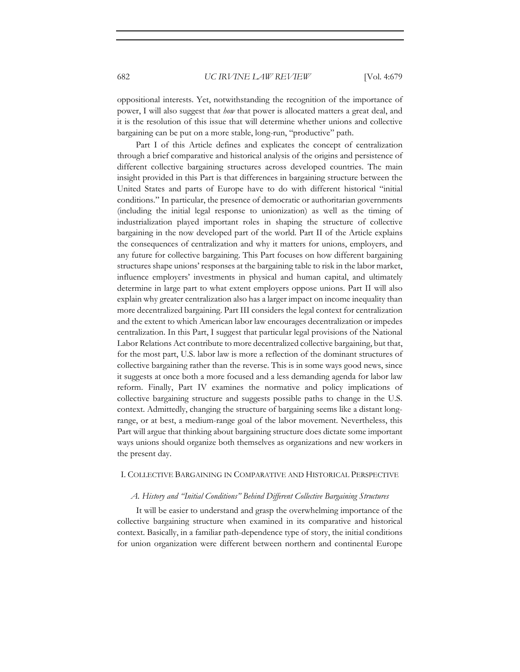oppositional interests. Yet, notwithstanding the recognition of the importance of power, I will also suggest that *how* that power is allocated matters a great deal, and it is the resolution of this issue that will determine whether unions and collective bargaining can be put on a more stable, long-run, "productive" path.

Part I of this Article defines and explicates the concept of centralization through a brief comparative and historical analysis of the origins and persistence of different collective bargaining structures across developed countries. The main insight provided in this Part is that differences in bargaining structure between the United States and parts of Europe have to do with different historical "initial conditions." In particular, the presence of democratic or authoritarian governments (including the initial legal response to unionization) as well as the timing of industrialization played important roles in shaping the structure of collective bargaining in the now developed part of the world. Part II of the Article explains the consequences of centralization and why it matters for unions, employers, and any future for collective bargaining. This Part focuses on how different bargaining structures shape unions' responses at the bargaining table to risk in the labor market, influence employers' investments in physical and human capital, and ultimately determine in large part to what extent employers oppose unions. Part II will also explain why greater centralization also has a larger impact on income inequality than more decentralized bargaining. Part III considers the legal context for centralization and the extent to which American labor law encourages decentralization or impedes centralization. In this Part, I suggest that particular legal provisions of the National Labor Relations Act contribute to more decentralized collective bargaining, but that, for the most part, U.S. labor law is more a reflection of the dominant structures of collective bargaining rather than the reverse. This is in some ways good news, since it suggests at once both a more focused and a less demanding agenda for labor law reform. Finally, Part IV examines the normative and policy implications of collective bargaining structure and suggests possible paths to change in the U.S. context. Admittedly, changing the structure of bargaining seems like a distant longrange, or at best, a medium-range goal of the labor movement. Nevertheless, this Part will argue that thinking about bargaining structure does dictate some important ways unions should organize both themselves as organizations and new workers in the present day.

### I. COLLECTIVE BARGAINING IN COMPARATIVE AND HISTORICAL PERSPECTIVE

#### *A. History and "Initial Conditions" Behind Different Collective Bargaining Structures*

It will be easier to understand and grasp the overwhelming importance of the collective bargaining structure when examined in its comparative and historical context. Basically, in a familiar path-dependence type of story, the initial conditions for union organization were different between northern and continental Europe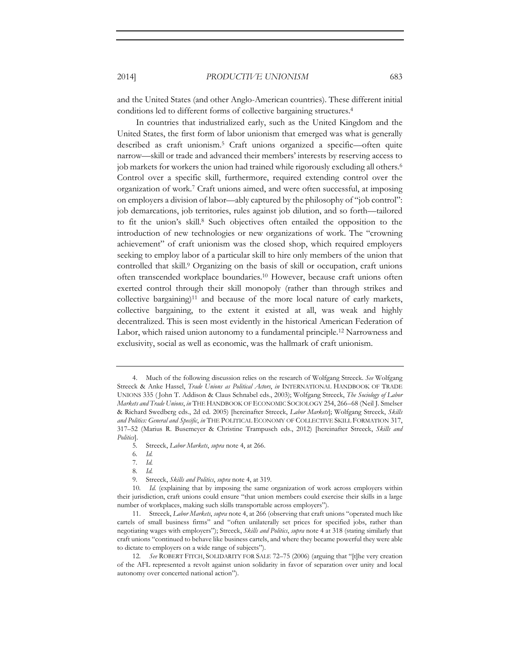and the United States (and other Anglo-American countries). These different initial conditions led to different forms of collective bargaining structures.4

In countries that industrialized early, such as the United Kingdom and the United States, the first form of labor unionism that emerged was what is generally described as craft unionism.5 Craft unions organized a specific—often quite narrow—skill or trade and advanced their members' interests by reserving access to job markets for workers the union had trained while rigorously excluding all others.<sup>6</sup> Control over a specific skill, furthermore, required extending control over the organization of work.7 Craft unions aimed, and were often successful, at imposing on employers a division of labor—ably captured by the philosophy of "job control": job demarcations, job territories, rules against job dilution, and so forth—tailored to fit the union's skill.8 Such objectives often entailed the opposition to the introduction of new technologies or new organizations of work. The "crowning achievement" of craft unionism was the closed shop, which required employers seeking to employ labor of a particular skill to hire only members of the union that controlled that skill.9 Organizing on the basis of skill or occupation, craft unions often transcended workplace boundaries.10 However, because craft unions often exerted control through their skill monopoly (rather than through strikes and collective bargaining)<sup>11</sup> and because of the more local nature of early markets, collective bargaining, to the extent it existed at all, was weak and highly decentralized. This is seen most evidently in the historical American Federation of Labor, which raised union autonomy to a fundamental principle.12 Narrowness and exclusivity, social as well as economic, was the hallmark of craft unionism.

<sup>4.</sup> Much of the following discussion relies on the research of Wolfgang Streeck. *See* Wolfgang Streeck & Anke Hassel, *Trade Unions as Political Actors*, *in* INTERNATIONAL HANDBOOK OF TRADE UNIONS 335 ( John T. Addison & Claus Schnabel eds., 2003); Wolfgang Streeck, *The Sociology of Labor Markets and Trade Unions*, *in* THE HANDBOOK OF ECONOMIC SOCIOLOGY 254, 266–68 (Neil J. Smelser & Richard Swedberg eds., 2d ed. 2005) [hereinafter Streeck, *Labor Markets*]; Wolfgang Streeck, *Skills and Politics: General and Specific*, *in* THE POLITICAL ECONOMY OF COLLECTIVE SKILL FORMATION 317, 317–52 (Marius R. Busemeyer & Christine Trampusch eds., 2012) [hereinafter Streeck, *Skills and Politics*].

<sup>5.</sup> Streeck, *Labor Markets*, *supra* note 4, at 266.

<sup>6</sup>*. Id.* 

<sup>7</sup>*. Id.* 

<sup>8</sup>*. Id.* 

<sup>9.</sup> Streeck, *Skills and Politics*, *supra* note 4, at 319.

<sup>10</sup>*. Id.* (explaining that by imposing the same organization of work across employers within their jurisdiction, craft unions could ensure "that union members could exercise their skills in a large number of workplaces, making such skills transportable across employers").

<sup>11.</sup> Streeck, *Labor Markets*, *supra* note 4, at 266 (observing that craft unions "operated much like cartels of small business firms" and "often unilaterally set prices for specified jobs, rather than negotiating wages with employers"); Streeck, *Skills and Politics*, *supra* note 4 at 318 (stating similarly that craft unions "continued to behave like business cartels, and where they became powerful they were able to dictate to employers on a wide range of subjects").

<sup>12</sup>*. See* ROBERT FITCH, SOLIDARITY FOR SALE 72–75 (2006) (arguing that "[t]he very creation of the AFL represented a revolt against union solidarity in favor of separation over unity and local autonomy over concerted national action").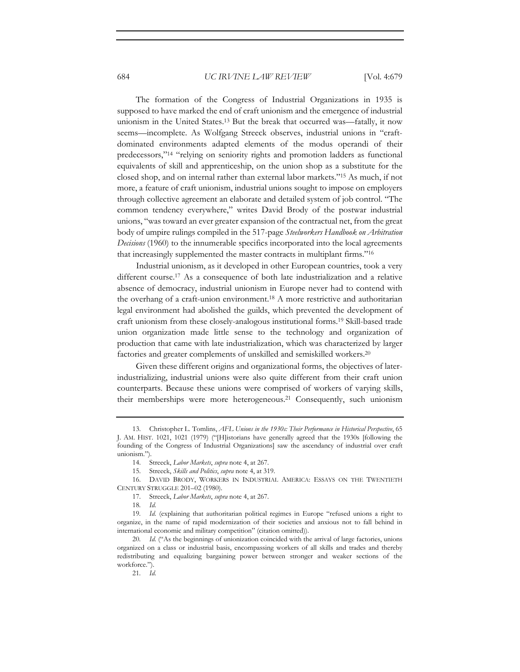The formation of the Congress of Industrial Organizations in 1935 is supposed to have marked the end of craft unionism and the emergence of industrial unionism in the United States.13 But the break that occurred was—fatally, it now seems—incomplete. As Wolfgang Streeck observes, industrial unions in "craftdominated environments adapted elements of the modus operandi of their predecessors,"14 "relying on seniority rights and promotion ladders as functional equivalents of skill and apprenticeship, on the union shop as a substitute for the closed shop, and on internal rather than external labor markets."15 As much, if not more, a feature of craft unionism, industrial unions sought to impose on employers through collective agreement an elaborate and detailed system of job control. "The common tendency everywhere," writes David Brody of the postwar industrial unions, "was toward an ever greater expansion of the contractual net, from the great body of umpire rulings compiled in the 517-page *Steelworkers Handbook on Arbitration Decisions* (1960) to the innumerable specifics incorporated into the local agreements that increasingly supplemented the master contracts in multiplant firms."16

Industrial unionism, as it developed in other European countries, took a very different course.17 As a consequence of both late industrialization and a relative absence of democracy, industrial unionism in Europe never had to contend with the overhang of a craft-union environment.18 A more restrictive and authoritarian legal environment had abolished the guilds, which prevented the development of craft unionism from these closely-analogous institutional forms.19 Skill-based trade union organization made little sense to the technology and organization of production that came with late industrialization, which was characterized by larger factories and greater complements of unskilled and semiskilled workers.20

Given these different origins and organizational forms, the objectives of laterindustrializing, industrial unions were also quite different from their craft union counterparts. Because these unions were comprised of workers of varying skills, their memberships were more heterogeneous.21 Consequently, such unionism

<sup>13.</sup> Christopher L. Tomlins, *AFL Unions in the 1930s: Their Performance in Historical Perspective*, 65 J. AM. HIST. 1021, 1021 (1979) ("[H]istorians have generally agreed that the 1930s [following the founding of the Congress of Industrial Organizations] saw the ascendancy of industrial over craft unionism.").

<sup>14.</sup> Streeck, *Labor Markets*, *supra* note 4, at 267.

<sup>15.</sup> Streeck, *Skills and Politics*, *supra* note 4, at 319.

<sup>16.</sup> DAVID BRODY, WORKERS IN INDUSTRIAL AMERICA: ESSAYS ON THE TWENTIETH CENTURY STRUGGLE 201–02 (1980).

<sup>17.</sup> Streeck, *Labor Markets*, *supra* note 4, at 267.

<sup>18</sup>*. Id.* 

<sup>19</sup>*. Id.* (explaining that authoritarian political regimes in Europe "refused unions a right to organize, in the name of rapid modernization of their societies and anxious not to fall behind in international economic and military competition" (citation omitted)).

<sup>20</sup>*. Id.* ("As the beginnings of unionization coincided with the arrival of large factories, unions organized on a class or industrial basis, encompassing workers of all skills and trades and thereby redistributing and equalizing bargaining power between stronger and weaker sections of the workforce.").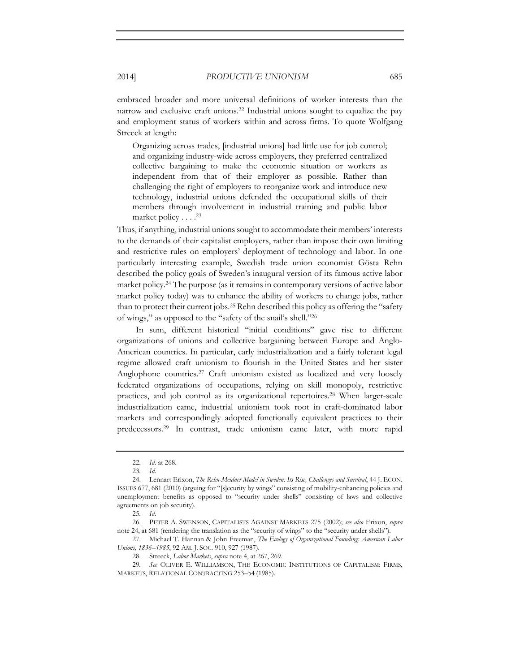embraced broader and more universal definitions of worker interests than the narrow and exclusive craft unions.22 Industrial unions sought to equalize the pay and employment status of workers within and across firms. To quote Wolfgang Streeck at length:

Organizing across trades, [industrial unions] had little use for job control; and organizing industry-wide across employers, they preferred centralized collective bargaining to make the economic situation or workers as independent from that of their employer as possible. Rather than challenging the right of employers to reorganize work and introduce new technology, industrial unions defended the occupational skills of their members through involvement in industrial training and public labor market policy . . . .23

Thus, if anything, industrial unions sought to accommodate their members' interests to the demands of their capitalist employers, rather than impose their own limiting and restrictive rules on employers' deployment of technology and labor. In one particularly interesting example, Swedish trade union economist Gösta Rehn described the policy goals of Sweden's inaugural version of its famous active labor market policy.24 The purpose (as it remains in contemporary versions of active labor market policy today) was to enhance the ability of workers to change jobs, rather than to protect their current jobs.25 Rehn described this policy as offering the "safety of wings," as opposed to the "safety of the snail's shell."26

In sum, different historical "initial conditions" gave rise to different organizations of unions and collective bargaining between Europe and Anglo-American countries. In particular, early industrialization and a fairly tolerant legal regime allowed craft unionism to flourish in the United States and her sister Anglophone countries.27 Craft unionism existed as localized and very loosely federated organizations of occupations, relying on skill monopoly, restrictive practices, and job control as its organizational repertoires.28 When larger-scale industrialization came, industrial unionism took root in craft-dominated labor markets and correspondingly adopted functionally equivalent practices to their predecessors.29 In contrast, trade unionism came later, with more rapid

<sup>22</sup>*. Id.* at 268.

<sup>23</sup>*. Id.* 

<sup>24.</sup> Lennart Erixon, *The Rehn-Meidner Model in Sweden: Its Rise, Challenges and Survival*, 44 J. ECON. ISSUES 677, 681 (2010) (arguing for "[s]ecurity by wings" consisting of mobility-enhancing policies and unemployment benefits as opposed to "security under shells" consisting of laws and collective agreements on job security).

<sup>25</sup>*. Id.*

<sup>26.</sup> PETER A. SWENSON, CAPITALISTS AGAINST MARKETS 275 (2002); *see also* Erixon, *supra* note 24, at 681 (rendering the translation as the "security of wings" to the "security under shells").

<sup>27.</sup> Michael T. Hannan & John Freeman, *The Ecology of Organizational Founding: American Labor Unions, 1836*–*1985*, 92 AM. J. SOC. 910, 927 (1987).

<sup>28.</sup> Streeck, *Labor Markets*, *supra* note 4, at 267, 269.

<sup>29</sup>*. See* OLIVER E. WILLIAMSON, THE ECONOMIC INSTITUTIONS OF CAPITALISM: FIRMS, MARKETS, RELATIONAL CONTRACTING 253–54 (1985).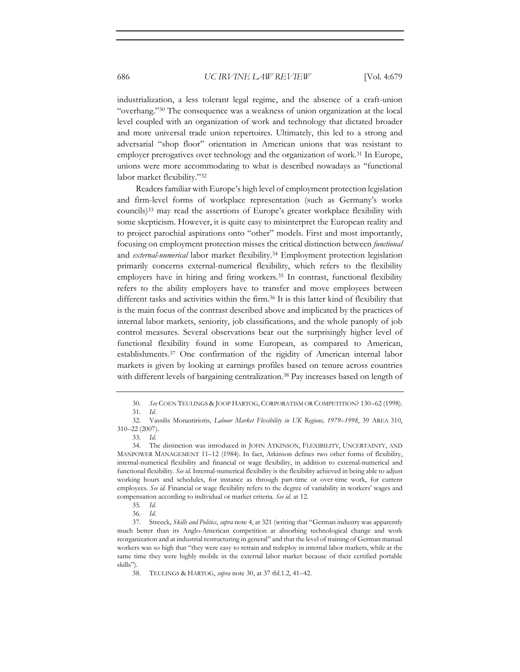industrialization, a less tolerant legal regime, and the absence of a craft-union "overhang."30 The consequence was a weakness of union organization at the local level coupled with an organization of work and technology that dictated broader and more universal trade union repertoires. Ultimately, this led to a strong and adversarial "shop floor" orientation in American unions that was resistant to employer prerogatives over technology and the organization of work.31 In Europe, unions were more accommodating to what is described nowadays as "functional labor market flexibility."32

Readers familiar with Europe's high level of employment protection legislation and firm-level forms of workplace representation (such as Germany's works councils)33 may read the assertions of Europe's greater workplace flexibility with some skepticism. However, it is quite easy to misinterpret the European reality and to project parochial aspirations onto "other" models. First and most importantly, focusing on employment protection misses the critical distinction between *functional* and *external-numerical* labor market flexibility.34 Employment protection legislation primarily concerns external-numerical flexibility, which refers to the flexibility employers have in hiring and firing workers.35 In contrast, functional flexibility refers to the ability employers have to transfer and move employees between different tasks and activities within the firm.<sup>36</sup> It is this latter kind of flexibility that is the main focus of the contrast described above and implicated by the practices of internal labor markets, seniority, job classifications, and the whole panoply of job control measures. Several observations bear out the surprisingly higher level of functional flexibility found in some European, as compared to American, establishments.37 One confirmation of the rigidity of American internal labor markets is given by looking at earnings profiles based on tenure across countries with different levels of bargaining centralization.<sup>38</sup> Pay increases based on length of

<sup>30</sup>*. See* COEN TEULINGS & JOOP HARTOG, CORPORATISM OR COMPETITION? 130–62 (1998).

<sup>31</sup>*. Id.*

<sup>32.</sup> Vassilis Monastiriotis, *Labour Market Flexibility in UK Regions, 1979*–*1998*, 39 AREA 310, 310–22 (2007).

<sup>33</sup>*. Id.*

<sup>34.</sup> The distinction was introduced in JOHN ATKINSON, FLEXIBILITY, UNCERTAINTY, AND MANPOWER MANAGEMENT 11–12 (1984). In fact, Atkinson defines two other forms of flexibility, internal-numerical flexibility and financial or wage flexibility, in addition to external-numerical and functional flexibility. *See id.* Internal-numerical flexibility is the flexibility achieved in being able to adjust working hours and schedules, for instance as through part-time or over-time work, for current employees. *See id.* Financial or wage flexibility refers to the degree of variability in workers' wages and compensation according to individual or market criteria. *See id.* at 12.

<sup>35</sup>*. Id.* 

<sup>36</sup>*. Id.* 

<sup>37.</sup> Streeck, *Skills and Politics*, *supra* note 4, at 321 (writing that "German industry was apparently much better than its Anglo-American competition at absorbing technological change and work reorganization and at industrial restructuring in general" and that the level of training of German manual workers was so high that "they were easy to retrain and redeploy in internal labor markets, while at the same time they were highly mobile in the external labor market because of their certified portable skills").

<sup>38.</sup> TEULINGS & HARTOG, *supra* note 30, at 37 tbl.1.2, 41–42.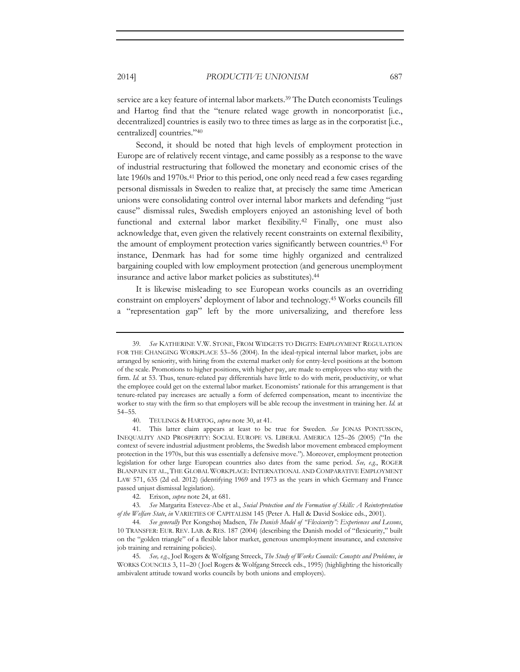service are a key feature of internal labor markets.<sup>39</sup> The Dutch economists Teulings and Hartog find that the "tenure related wage growth in noncorporatist [i.e., decentralized] countries is easily two to three times as large as in the corporatist [i.e., centralized] countries."40

Second, it should be noted that high levels of employment protection in Europe are of relatively recent vintage, and came possibly as a response to the wave of industrial restructuring that followed the monetary and economic crises of the late 1960s and 1970s.41 Prior to this period, one only need read a few cases regarding personal dismissals in Sweden to realize that, at precisely the same time American unions were consolidating control over internal labor markets and defending "just cause" dismissal rules, Swedish employers enjoyed an astonishing level of both functional and external labor market flexibility.42 Finally, one must also acknowledge that, even given the relatively recent constraints on external flexibility, the amount of employment protection varies significantly between countries.43 For instance, Denmark has had for some time highly organized and centralized bargaining coupled with low employment protection (and generous unemployment insurance and active labor market policies as substitutes).44

It is likewise misleading to see European works councils as an overriding constraint on employers' deployment of labor and technology.45 Works councils fill a "representation gap" left by the more universalizing, and therefore less

40. TEULINGS & HARTOG, *supra* note 30, at 41.

41. This latter claim appears at least to be true for Sweden. *See* JONAS PONTUSSON, INEQUALITY AND PROSPERITY: SOCIAL EUROPE VS. LIBERAL AMERICA 125–26 (2005) ("In the context of severe industrial adjustment problems, the Swedish labor movement embraced employment protection in the 1970s, but this was essentially a defensive move."). Moreover, employment protection legislation for other large European countries also dates from the same period. *See, e.g.*, ROGER BLANPAIN ET AL., THE GLOBAL WORKPLACE: INTERNATIONAL AND COMPARATIVE EMPLOYMENT LAW 571, 635 (2d ed. 2012) (identifying 1969 and 1973 as the years in which Germany and France passed unjust dismissal legislation).

42. Erixon, *supra* note 24, at 681.

43*. See* Margarita Estevez-Abe et al., *Social Protection and the Formation of Skills: A Reinterpretation of the Welfare State*, *in* VARIETIES OF CAPITALISM 145 (Peter A. Hall & David Soskice eds., 2001).

44*. See generally* Per Kongshøj Madsen, *The Danish Model of "Flexicurity": Experiences and Lessons*, 10 TRANSFER: EUR. REV. LAB. & RES. 187 (2004) (describing the Danish model of "flexicurity," built on the "golden triangle" of a flexible labor market, generous unemployment insurance, and extensive job training and retraining policies).

45*. See, e.g.*, Joel Rogers & Wolfgang Streeck, *The Study of Works Councils: Concepts and Problems*, *in* WORKS COUNCILS 3, 11–20 ( Joel Rogers & Wolfgang Streeck eds., 1995) (highlighting the historically ambivalent attitude toward works councils by both unions and employers).

<sup>39</sup>*. See* KATHERINE V.W. STONE, FROM WIDGETS TO DIGITS: EMPLOYMENT REGULATION FOR THE CHANGING WORKPLACE 53–56 (2004). In the ideal-typical internal labor market, jobs are arranged by seniority, with hiring from the external market only for entry-level positions at the bottom of the scale. Promotions to higher positions, with higher pay, are made to employees who stay with the firm. *Id.* at 53. Thus, tenure-related pay differentials have little to do with merit, productivity, or what the employee could get on the external labor market. Economists' rationale for this arrangement is that tenure-related pay increases are actually a form of deferred compensation, meant to incentivize the worker to stay with the firm so that employers will be able recoup the investment in training her. *Id.* at 54–55.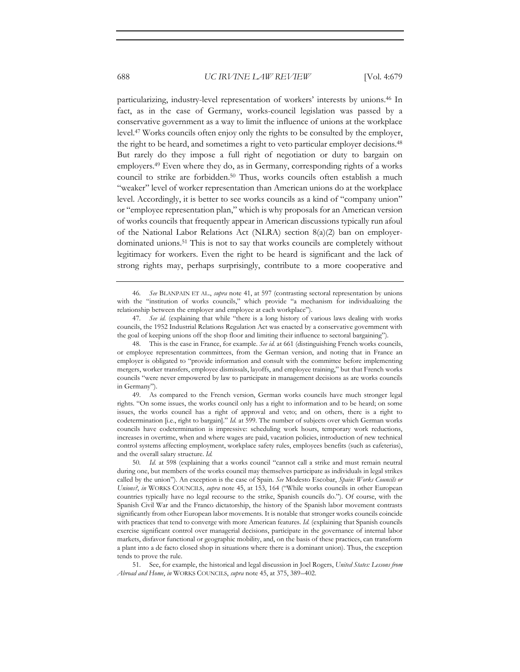particularizing, industry-level representation of workers' interests by unions.46 In fact, as in the case of Germany, works-council legislation was passed by a conservative government as a way to limit the influence of unions at the workplace level.47 Works councils often enjoy only the rights to be consulted by the employer, the right to be heard, and sometimes a right to veto particular employer decisions.<sup>48</sup> But rarely do they impose a full right of negotiation or duty to bargain on employers.49 Even where they do, as in Germany, corresponding rights of a works council to strike are forbidden.<sup>50</sup> Thus, works councils often establish a much "weaker" level of worker representation than American unions do at the workplace level. Accordingly, it is better to see works councils as a kind of "company union" or "employee representation plan," which is why proposals for an American version of works councils that frequently appear in American discussions typically run afoul of the National Labor Relations Act (NLRA) section 8(a)(2) ban on employerdominated unions.51 This is not to say that works councils are completely without legitimacy for workers. Even the right to be heard is significant and the lack of strong rights may, perhaps surprisingly, contribute to a more cooperative and

<sup>46</sup>*. See* BLANPAIN ET AL., *supra* note 41, at 597 (contrasting sectoral representation by unions with the "institution of works councils," which provide "a mechanism for individualizing the relationship between the employer and employee at each workplace").

<sup>47</sup>*. See id.* (explaining that while "there is a long history of various laws dealing with works councils, the 1952 Industrial Relations Regulation Act was enacted by a conservative government with the goal of keeping unions off the shop floor and limiting their influence to sectoral bargaining").

<sup>48.</sup> This is the case in France, for example. *See id.* at 661 (distinguishing French works councils, or employee representation committees, from the German version, and noting that in France an employer is obligated to "provide information and consult with the committee before implementing mergers, worker transfers, employee dismissals, layoffs, and employee training," but that French works councils "were never empowered by law to participate in management decisions as are works councils in Germany").

<sup>49.</sup> As compared to the French version, German works councils have much stronger legal rights. "On some issues, the works council only has a right to information and to be heard; on some issues, the works council has a right of approval and veto; and on others, there is a right to codetermination [i.e., right to bargain]." *Id.* at 599. The number of subjects over which German works councils have codetermination is impressive: scheduling work hours, temporary work reductions, increases in overtime, when and where wages are paid, vacation policies, introduction of new technical control systems affecting employment, workplace safety rules, employees benefits (such as cafeterias), and the overall salary structure. *Id.*

<sup>50</sup>*. Id.* at 598 (explaining that a works council "cannot call a strike and must remain neutral during one, but members of the works council may themselves participate as individuals in legal strikes called by the union"). An exception is the case of Spain. *See* Modesto Escobar, *Spain: Works Councils or Unions?*, *in* WORKS COUNCILS, *supra* note 45, at 153, 164 ("While works councils in other European countries typically have no legal recourse to the strike, Spanish councils do."). Of course, with the Spanish Civil War and the Franco dictatorship, the history of the Spanish labor movement contrasts significantly from other European labor movements. It is notable that stronger works councils coincide with practices that tend to converge with more American features. *Id.* (explaining that Spanish councils exercise significant control over managerial decisions, participate in the governance of internal labor markets, disfavor functional or geographic mobility, and, on the basis of these practices, can transform a plant into a de facto closed shop in situations where there is a dominant union). Thus, the exception tends to prove the rule.

<sup>51.</sup> See, for example, the historical and legal discussion in Joel Rogers, *United States: Lessons from Abroad and Home*, *in* WORKS COUNCILS, *supra* note 45, at 375, 389–402.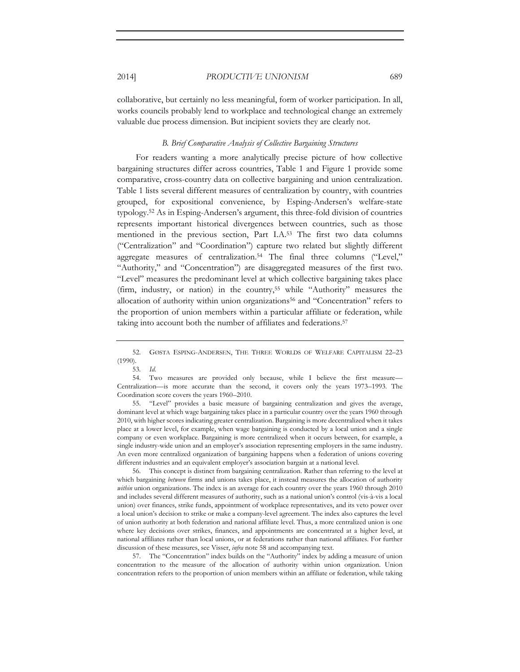collaborative, but certainly no less meaningful, form of worker participation. In all, works councils probably lend to workplace and technological change an extremely valuable due process dimension. But incipient soviets they are clearly not.

### *B. Brief Comparative Analysis of Collective Bargaining Structures*

For readers wanting a more analytically precise picture of how collective bargaining structures differ across countries, Table 1 and Figure 1 provide some comparative, cross-country data on collective bargaining and union centralization. Table 1 lists several different measures of centralization by country, with countries grouped, for expositional convenience, by Esping-Andersen's welfare-state typology.52 As in Esping-Andersen's argument, this three-fold division of countries represents important historical divergences between countries, such as those mentioned in the previous section, Part I.A.53 The first two data columns ("Centralization" and "Coordination") capture two related but slightly different aggregate measures of centralization.54 The final three columns ("Level," "Authority," and "Concentration") are disaggregated measures of the first two. "Level" measures the predominant level at which collective bargaining takes place (firm, industry, or nation) in the country,55 while "Authority" measures the allocation of authority within union organizations<sup>56</sup> and "Concentration" refers to the proportion of union members within a particular affiliate or federation, while taking into account both the number of affiliates and federations.57

53*. Id.*

55. "Level" provides a basic measure of bargaining centralization and gives the average, dominant level at which wage bargaining takes place in a particular country over the years 1960 through 2010, with higher scores indicating greater centralization. Bargaining is more decentralized when it takes place at a lower level, for example, when wage bargaining is conducted by a local union and a single company or even workplace. Bargaining is more centralized when it occurs between, for example, a single industry-wide union and an employer's association representing employers in the same industry. An even more centralized organization of bargaining happens when a federation of unions covering different industries and an equivalent employer's association bargain at a national level.

56. This concept is distinct from bargaining centralization. Rather than referring to the level at which bargaining *between* firms and unions takes place, it instead measures the allocation of authority *within* union organizations. The index is an average for each country over the years 1960 through 2010 and includes several different measures of authority, such as a national union's control (vis-à-vis a local union) over finances, strike funds, appointment of workplace representatives, and its veto power over a local union's decision to strike or make a company-level agreement. The index also captures the level of union authority at both federation and national affiliate level. Thus, a more centralized union is one where key decisions over strikes, finances, and appointments are concentrated at a higher level, at national affiliates rather than local unions, or at federations rather than national affiliates. For further discussion of these measures, see Visser, *infra* note 58 and accompanying text.

57. The "Concentration" index builds on the "Authority" index by adding a measure of union concentration to the measure of the allocation of authority within union organization. Union concentration refers to the proportion of union members within an affiliate or federation, while taking

<sup>52.</sup> GØSTA ESPING-ANDERSEN, THE THREE WORLDS OF WELFARE CAPITALISM 22–23 (1990).

<sup>54.</sup> Two measures are provided only because, while I believe the first measure— Centralization—is more accurate than the second, it covers only the years 1973–1993. The Coordination score covers the years 1960–2010.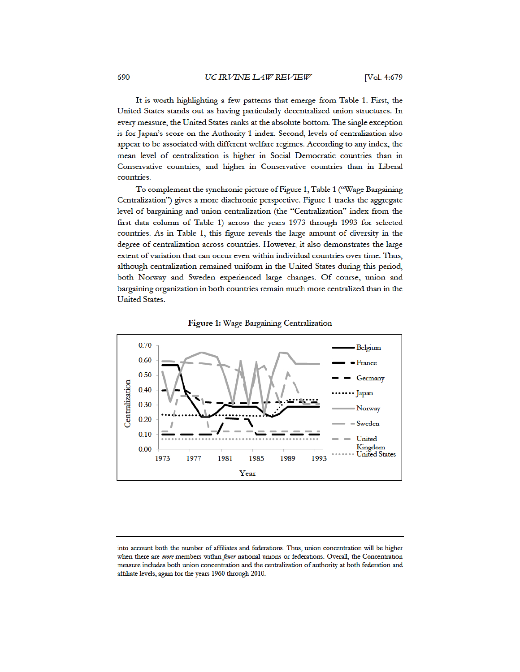It is worth highlighting a few patterns that emerge from Table 1. First, the United States stands out as having particularly decentralized union structures. In every measure, the United States ranks at the absolute bottom. The single exception is for Japan's score on the Authority 1 index. Second, levels of centralization also appear to be associated with different welfare regimes. According to any index, the mean level of centralization is higher in Social Democratic countries than in Conservative countries, and higher in Conservative countries than in Liberal countries.

To complement the synchronic picture of Figure 1, Table 1 ("Wage Bargaining Centralization") gives a more diachronic perspective. Figure 1 tracks the aggregate level of bargaining and union centralization (the "Centralization" index from the first data column of Table 1) across the years 1973 through 1993 for selected countries. As in Table 1, this figure reveals the large amount of diversity in the degree of centralization across countries. However, it also demonstrates the large extent of variation that can occur even within individual countries over time. Thus, although centralization remained uniform in the United States during this period, both Norway and Sweden experienced large changes. Of course, union and bargaining organization in both countries remain much more centralized than in the **United States.** 





into account both the number of affiliates and federations. Thus, union concentration will be higher when there are more members within fewer national unions or federations. Overall, the Concentration measure includes both union concentration and the centralization of authority at both federation and affiliate levels, again for the years 1960 through 2010.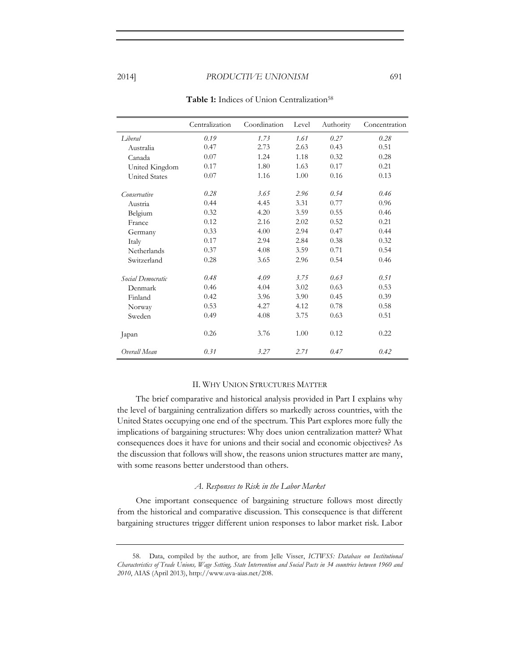|                      | Centralization | Coordination | Level | Authority | Concentration |
|----------------------|----------------|--------------|-------|-----------|---------------|
| I iberal             | 0.19           | 1.73         | 1.61  | 0.27      | 0.28          |
| Australia            | 0.47           | 2.73         | 2.63  | 0.43      | 0.51          |
| Canada               | 0.07           | 1.24         | 1.18  | 0.32      | 0.28          |
| United Kingdom       | 0.17           | 1.80         | 1.63  | 0.17      | 0.21          |
| <b>United States</b> | 0.07           | 1.16         | 1.00  | 0.16      | 0.13          |
| Conservative         | 0.28           | 3.65         | 2.96  | 0.54      | 0.46          |
| Austria              | 0.44           | 4.45         | 3.31  | 0.77      | 0.96          |
| Belgium              | 0.32           | 4.20         | 3.59  | 0.55      | 0.46          |
| France               | 0.12           | 2.16         | 2.02  | 0.52      | 0.21          |
| Germany              | 0.33           | 4.00         | 2.94  | 0.47      | 0.44          |
| Italy                | 0.17           | 2.94         | 2.84  | 0.38      | 0.32          |
| Netherlands          | 0.37           | 4.08         | 3.59  | 0.71      | 0.54          |
| Switzerland          | 0.28           | 3.65         | 2.96  | 0.54      | 0.46          |
| Social Democratic    | 0.48           | 4.09         | 3.75  | 0.63      | 0.51          |
| Denmark              | 0.46           | 4.04         | 3.02  | 0.63      | 0.53          |
| Finland              | 0.42           | 3.96         | 3.90  | 0.45      | 0.39          |
| Norway               | 0.53           | 4.27         | 4.12  | 0.78      | 0.58          |
| Sweden               | 0.49           | 4.08         | 3.75  | 0.63      | 0.51          |
| Japan                | 0.26           | 3.76         | 1.00  | 0.12      | 0.22          |
| Overall Mean         | 0.31           | 3.27         | 2.71  | 0.47      | 0.42          |

Table 1: Indices of Union Centralization<sup>58</sup>

#### II. WHY UNION STRUCTURES MATTER

The brief comparative and historical analysis provided in Part I explains why the level of bargaining centralization differs so markedly across countries, with the United States occupying one end of the spectrum. This Part explores more fully the implications of bargaining structures: Why does union centralization matter? What consequences does it have for unions and their social and economic objectives? As the discussion that follows will show, the reasons union structures matter are many, with some reasons better understood than others.

#### *A. Responses to Risk in the Labor Market*

One important consequence of bargaining structure follows most directly from the historical and comparative discussion. This consequence is that different bargaining structures trigger different union responses to labor market risk. Labor

<sup>58.</sup> Data, compiled by the author, are from Jelle Visser, *ICTWSS: Database on Institutional Characteristics of Trade Unions, Wage Setting, State Intervention and Social Pacts in 34 countries between 1960 and 2010*, AIAS (April 2013), http://www.uva-aias.net/208.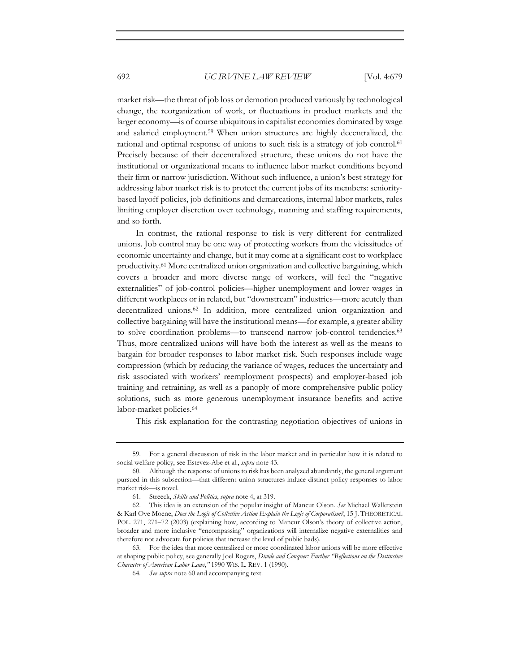market risk—the threat of job loss or demotion produced variously by technological change, the reorganization of work, or fluctuations in product markets and the larger economy—is of course ubiquitous in capitalist economies dominated by wage and salaried employment.59 When union structures are highly decentralized, the rational and optimal response of unions to such risk is a strategy of job control.<sup>60</sup> Precisely because of their decentralized structure, these unions do not have the institutional or organizational means to influence labor market conditions beyond their firm or narrow jurisdiction. Without such influence, a union's best strategy for addressing labor market risk is to protect the current jobs of its members: senioritybased layoff policies, job definitions and demarcations, internal labor markets, rules limiting employer discretion over technology, manning and staffing requirements, and so forth.

In contrast, the rational response to risk is very different for centralized unions. Job control may be one way of protecting workers from the vicissitudes of economic uncertainty and change, but it may come at a significant cost to workplace productivity.61 More centralized union organization and collective bargaining, which covers a broader and more diverse range of workers, will feel the "negative externalities" of job-control policies—higher unemployment and lower wages in different workplaces or in related, but "downstream" industries—more acutely than decentralized unions.62 In addition, more centralized union organization and collective bargaining will have the institutional means—for example, a greater ability to solve coordination problems—to transcend narrow job-control tendencies.<sup>63</sup> Thus, more centralized unions will have both the interest as well as the means to bargain for broader responses to labor market risk. Such responses include wage compression (which by reducing the variance of wages, reduces the uncertainty and risk associated with workers' reemployment prospects) and employer-based job training and retraining, as well as a panoply of more comprehensive public policy solutions, such as more generous unemployment insurance benefits and active labor-market policies.<sup>64</sup>

This risk explanation for the contrasting negotiation objectives of unions in

<sup>59.</sup> For a general discussion of risk in the labor market and in particular how it is related to social welfare policy, see Estevez-Abe et al., *supra* note 43.

<sup>60.</sup> Although the response of unions to risk has been analyzed abundantly, the general argument pursued in this subsection—that different union structures induce distinct policy responses to labor market risk—is novel.

<sup>61.</sup> Streeck, *Skills and Politics*, *supra* note 4, at 319.

<sup>62.</sup> This idea is an extension of the popular insight of Mancur Olson. *See* Michael Wallerstein & Karl Ove Moene, *Does the Logic of Collective Action Explain the Logic of Corporatism?*, 15 J. THEORETICAL POL. 271, 271–72 (2003) (explaining how, according to Mancur Olson's theory of collective action, broader and more inclusive "encompassing" organizations will internalize negative externalities and therefore not advocate for policies that increase the level of public bads).

<sup>63.</sup> For the idea that more centralized or more coordinated labor unions will be more effective at shaping public policy, see generally Joel Rogers, *Divide and Conquer: Further "Reflections on the Distinctive Character of American Labor Laws*,*"* 1990 WIS. L. REV. 1 (1990).

<sup>64</sup>*. See supra* note 60 and accompanying text.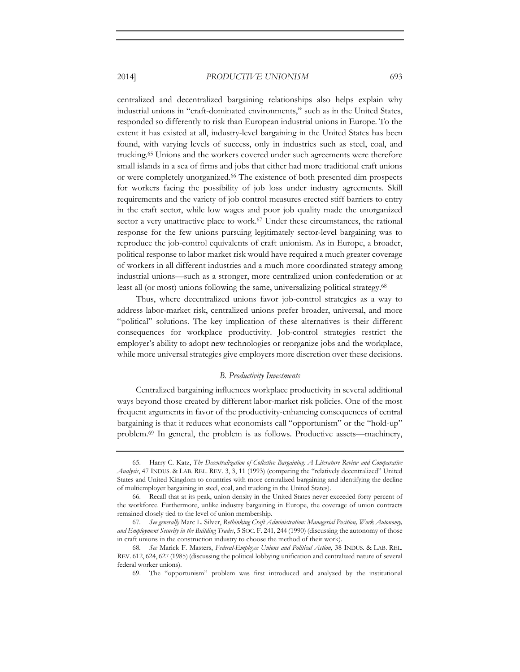centralized and decentralized bargaining relationships also helps explain why industrial unions in "craft-dominated environments," such as in the United States, responded so differently to risk than European industrial unions in Europe. To the extent it has existed at all, industry-level bargaining in the United States has been found, with varying levels of success, only in industries such as steel, coal, and trucking.65 Unions and the workers covered under such agreements were therefore small islands in a sea of firms and jobs that either had more traditional craft unions or were completely unorganized.66 The existence of both presented dim prospects for workers facing the possibility of job loss under industry agreements. Skill requirements and the variety of job control measures erected stiff barriers to entry in the craft sector, while low wages and poor job quality made the unorganized sector a very unattractive place to work.<sup>67</sup> Under these circumstances, the rational response for the few unions pursuing legitimately sector-level bargaining was to reproduce the job-control equivalents of craft unionism. As in Europe, a broader, political response to labor market risk would have required a much greater coverage of workers in all different industries and a much more coordinated strategy among industrial unions—such as a stronger, more centralized union confederation or at least all (or most) unions following the same, universalizing political strategy.68

Thus, where decentralized unions favor job-control strategies as a way to address labor-market risk, centralized unions prefer broader, universal, and more "political" solutions. The key implication of these alternatives is their different consequences for workplace productivity. Job-control strategies restrict the employer's ability to adopt new technologies or reorganize jobs and the workplace, while more universal strategies give employers more discretion over these decisions.

#### *B. Productivity Investments*

Centralized bargaining influences workplace productivity in several additional ways beyond those created by different labor-market risk policies. One of the most frequent arguments in favor of the productivity-enhancing consequences of central bargaining is that it reduces what economists call "opportunism" or the "hold-up" problem.69 In general, the problem is as follows. Productive assets—machinery,

69. The "opportunism" problem was first introduced and analyzed by the institutional

<sup>65.</sup> Harry C. Katz, *The Decentralization of Collective Bargaining: A Literature Review and Comparative Analysis*, 47 INDUS. & LAB. REL. REV. 3, 3, 11 (1993) (comparing the "relatively decentralized" United States and United Kingdom to countries with more centralized bargaining and identifying the decline of multiemployer bargaining in steel, coal, and trucking in the United States).

<sup>66.</sup> Recall that at its peak, union density in the United States never exceeded forty percent of the workforce. Furthermore, unlike industry bargaining in Europe, the coverage of union contracts remained closely tied to the level of union membership.

<sup>67</sup>*. See generally* Marc L. Silver, *Rethinking Craft Administration: Managerial Position, Work Autonomy, and Employment Security in the Building Trades*, 5 SOC. F. 241, 244 (1990) (discussing the autonomy of those in craft unions in the construction industry to choose the method of their work).

<sup>68</sup>*. See* Marick F. Masters, *Federal-Employee Unions and Political Action*, 38 INDUS. & LAB. REL. REV. 612, 624, 627 (1985) (discussing the political lobbying unification and centralized nature of several federal worker unions).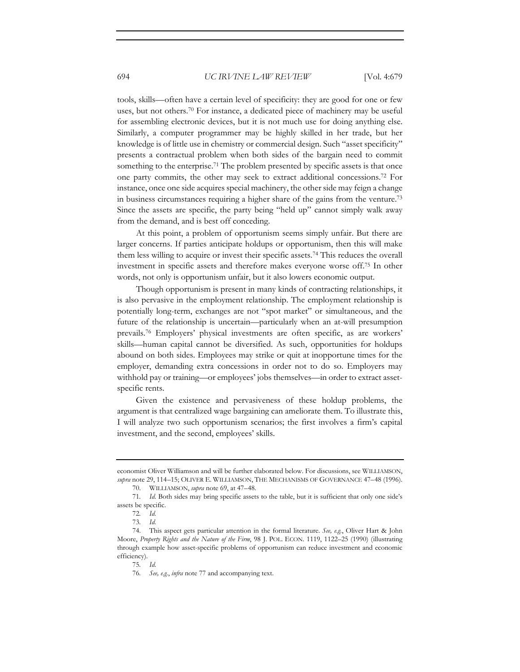tools, skills—often have a certain level of specificity: they are good for one or few uses, but not others.<sup>70</sup> For instance, a dedicated piece of machinery may be useful for assembling electronic devices, but it is not much use for doing anything else. Similarly, a computer programmer may be highly skilled in her trade, but her knowledge is of little use in chemistry or commercial design. Such "asset specificity" presents a contractual problem when both sides of the bargain need to commit something to the enterprise.<sup>71</sup> The problem presented by specific assets is that once one party commits, the other may seek to extract additional concessions.72 For instance, once one side acquires special machinery, the other side may feign a change in business circumstances requiring a higher share of the gains from the venture.73 Since the assets are specific, the party being "held up" cannot simply walk away from the demand, and is best off conceding.

At this point, a problem of opportunism seems simply unfair. But there are larger concerns. If parties anticipate holdups or opportunism, then this will make them less willing to acquire or invest their specific assets.74 This reduces the overall investment in specific assets and therefore makes everyone worse off.75 In other words, not only is opportunism unfair, but it also lowers economic output.

Though opportunism is present in many kinds of contracting relationships, it is also pervasive in the employment relationship. The employment relationship is potentially long-term, exchanges are not "spot market" or simultaneous, and the future of the relationship is uncertain—particularly when an at-will presumption prevails.76 Employers' physical investments are often specific, as are workers' skills—human capital cannot be diversified. As such, opportunities for holdups abound on both sides. Employees may strike or quit at inopportune times for the employer, demanding extra concessions in order not to do so. Employers may withhold pay or training—or employees' jobs themselves—in order to extract assetspecific rents.

Given the existence and pervasiveness of these holdup problems, the argument is that centralized wage bargaining can ameliorate them. To illustrate this, I will analyze two such opportunism scenarios; the first involves a firm's capital investment, and the second, employees' skills.

economist Oliver Williamson and will be further elaborated below. For discussions, see WILLIAMSON, *supra* note 29, 114–15; OLIVER E. WILLIAMSON, THE MECHANISMS OF GOVERNANCE 47–48 (1996).

<sup>70.</sup> WILLIAMSON, *supra* note 69, at 47–48.

<sup>71</sup>*. Id.* Both sides may bring specific assets to the table, but it is sufficient that only one side's assets be specific.

<sup>72</sup>*. Id.* 

<sup>73</sup>*. Id.* 

<sup>74.</sup> This aspect gets particular attention in the formal literature. *See, e.g.*, Oliver Hart & John Moore, *Property Rights and the Nature of the Firm*, 98 J. POL. ECON. 1119, 1122–25 (1990) (illustrating through example how asset-specific problems of opportunism can reduce investment and economic efficiency).

<sup>75</sup>*. Id.* 

<sup>76</sup>*. See, e.g.*, *infra* note 77 and accompanying text.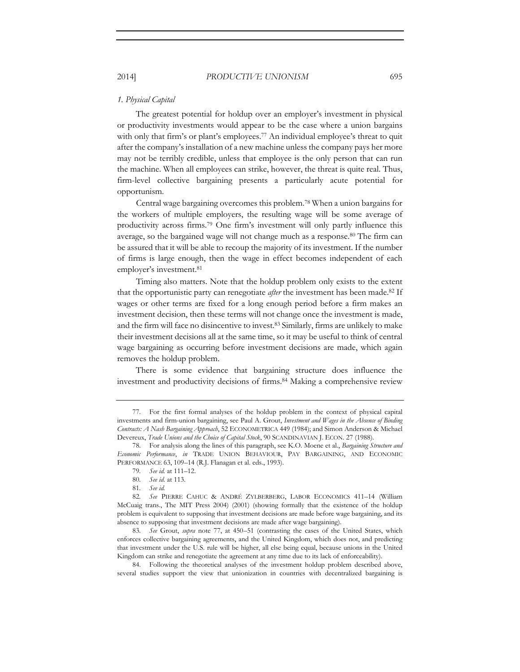### *1. Physical Capital*

The greatest potential for holdup over an employer's investment in physical or productivity investments would appear to be the case where a union bargains with only that firm's or plant's employees.<sup>77</sup> An individual employee's threat to quit after the company's installation of a new machine unless the company pays her more may not be terribly credible, unless that employee is the only person that can run the machine. When all employees can strike, however, the threat is quite real. Thus, firm-level collective bargaining presents a particularly acute potential for opportunism.

Central wage bargaining overcomes this problem.78 When a union bargains for the workers of multiple employers, the resulting wage will be some average of productivity across firms.79 One firm's investment will only partly influence this average, so the bargained wage will not change much as a response.<sup>80</sup> The firm can be assured that it will be able to recoup the majority of its investment. If the number of firms is large enough, then the wage in effect becomes independent of each employer's investment.81

Timing also matters. Note that the holdup problem only exists to the extent that the opportunistic party can renegotiate *after* the investment has been made.82 If wages or other terms are fixed for a long enough period before a firm makes an investment decision, then these terms will not change once the investment is made, and the firm will face no disincentive to invest.83 Similarly, firms are unlikely to make their investment decisions all at the same time, so it may be useful to think of central wage bargaining as occurring before investment decisions are made, which again removes the holdup problem.

There is some evidence that bargaining structure does influence the investment and productivity decisions of firms.84 Making a comprehensive review

<sup>77.</sup> For the first formal analyses of the holdup problem in the context of physical capital investments and firm-union bargaining, see Paul A. Grout, *Investment and Wages in the Absence of Binding Contracts: A Nash Bargaining Approach*, 52 ECONOMETRICA 449 (1984); and Simon Anderson & Michael Devereux, *Trade Unions and the Choice of Capital Stock*, 90 SCANDINAVIAN J. ECON. 27 (1988).

<sup>78.</sup> For analysis along the lines of this paragraph, see K.O. Moene et al., *Bargaining Structure and Economic Performance*, *in* TRADE UNION BEHAVIOUR, PAY BARGAINING, AND ECONOMIC PERFORMANCE 63, 109–14 (R.J. Flanagan et al. eds., 1993).

<sup>79</sup>*. See id.* at 111–12.

<sup>80</sup>*. See id.* at 113.

<sup>81</sup>*. See id.* 

<sup>82</sup>*. See* PIERRE CAHUC & ANDRÉ ZYLBERBERG, LABOR ECONOMICS 411–14 (William McCuaig trans., The MIT Press 2004) (2001) (showing formally that the existence of the holdup problem is equivalent to supposing that investment decisions are made before wage bargaining, and its absence to supposing that investment decisions are made after wage bargaining).

<sup>83</sup>*. See* Grout, *supra* note 77, at 450–51 (contrasting the cases of the United States, which enforces collective bargaining agreements, and the United Kingdom, which does not, and predicting that investment under the U.S. rule will be higher, all else being equal, because unions in the United Kingdom can strike and renegotiate the agreement at any time due to its lack of enforceability).

<sup>84.</sup> Following the theoretical analyses of the investment holdup problem described above, several studies support the view that unionization in countries with decentralized bargaining is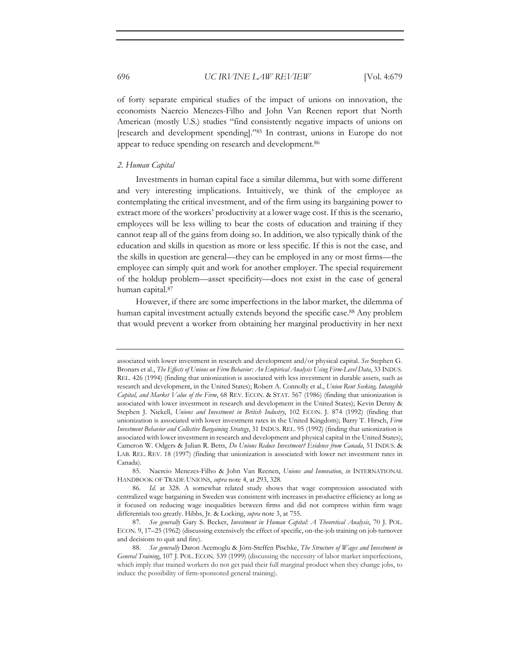of forty separate empirical studies of the impact of unions on innovation, the economists Naercio Menezes-Filho and John Van Reenen report that North American (mostly U.S.) studies "find consistently negative impacts of unions on [research and development spending]."85 In contrast, unions in Europe do not appear to reduce spending on research and development.<sup>86</sup>

#### *2. Human Capital*

Investments in human capital face a similar dilemma, but with some different and very interesting implications. Intuitively, we think of the employee as contemplating the critical investment, and of the firm using its bargaining power to extract more of the workers' productivity at a lower wage cost. If this is the scenario, employees will be less willing to bear the costs of education and training if they cannot reap all of the gains from doing so. In addition, we also typically think of the education and skills in question as more or less specific. If this is not the case, and the skills in question are general—they can be employed in any or most firms—the employee can simply quit and work for another employer. The special requirement of the holdup problem—asset specificity—does not exist in the case of general human capital.87

However, if there are some imperfections in the labor market, the dilemma of human capital investment actually extends beyond the specific case.88 Any problem that would prevent a worker from obtaining her marginal productivity in her next

85. Naercio Menezes-Filho & John Van Reenen, *Unions and Innovation*, *in* INTERNATIONAL HANDBOOK OF TRADE UNIONS, *supra* note 4, at 293, 328.

associated with lower investment in research and development and/or physical capital. *See* Stephen G. Bronars et al., *The Effects of Unions on Firm Behavior: An Empirical Analysis Using Firm-Level Data*, 33 INDUS. REL. 426 (1994) (finding that unionization is associated with less investment in durable assets, such as research and development, in the United States); Robert A. Connolly et al., *Union Rent Seeking, Intangible Capital, and Market Value of the Firm*, 68 REV. ECON. & STAT. 567 (1986) (finding that unionization is associated with lower investment in research and development in the United States); Kevin Denny & Stephen J. Nickell, *Unions and Investment in British Industry*, 102 ECON. J. 874 (1992) (finding that unionization is associated with lower investment rates in the United Kingdom); Barry T. Hirsch, *Firm Investment Behavior and Collective Bargaining Strategy*, 31 INDUS. REL. 95 (1992) (finding that unionization is associated with lower investment in research and development and physical capital in the United States); Cameron W. Odgers & Julian R. Betts, *Do Unions Reduce Investment? Evidence from Canada*, 51 INDUS. & LAB. REL. REV. 18 (1997) (finding that unionization is associated with lower net investment rates in Canada).

<sup>86</sup>*. Id.* at 328. A somewhat related study shows that wage compression associated with centralized wage bargaining in Sweden was consistent with increases in productive efficiency as long as it focused on reducing wage inequalities between firms and did not compress within firm wage differentials too greatly. Hibbs, Jr. & Locking, *supra* note 3, at 755.

<sup>87</sup>*. See generally* Gary S. Becker, *Investment in Human Capital: A Theoretical Analysis*, 70 J. POL. ECON. 9, 17–25 (1962) (discussing extensively the effect of specific, on-the-job training on job turnover and decisions to quit and fire).

<sup>88</sup>*. See generally* Daron Acemoglu & Jörn-Steffen Pischke, *The Structure of Wages and Investment in General Training*, 107 J. POL. ECON. 539 (1999) (discussing the necessity of labor market imperfections, which imply that trained workers do not get paid their full marginal product when they change jobs, to induce the possibility of firm-sponsored general training).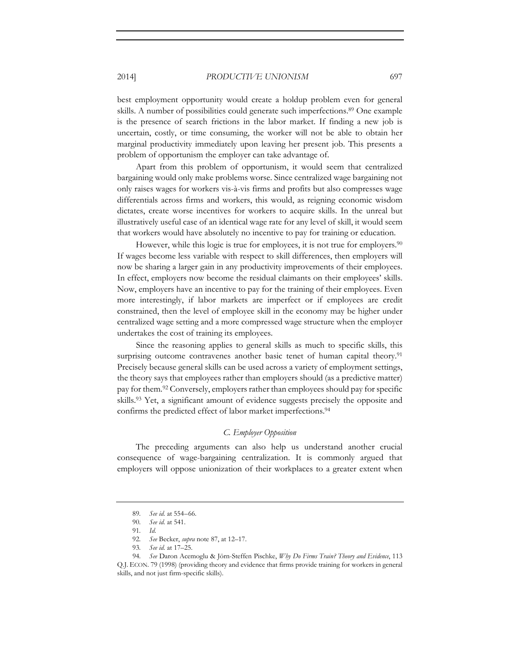best employment opportunity would create a holdup problem even for general skills. A number of possibilities could generate such imperfections.<sup>89</sup> One example is the presence of search frictions in the labor market. If finding a new job is uncertain, costly, or time consuming, the worker will not be able to obtain her marginal productivity immediately upon leaving her present job. This presents a problem of opportunism the employer can take advantage of.

Apart from this problem of opportunism, it would seem that centralized bargaining would only make problems worse. Since centralized wage bargaining not only raises wages for workers vis-à-vis firms and profits but also compresses wage differentials across firms and workers, this would, as reigning economic wisdom dictates, create worse incentives for workers to acquire skills. In the unreal but illustratively useful case of an identical wage rate for any level of skill, it would seem that workers would have absolutely no incentive to pay for training or education.

However, while this logic is true for employees, it is not true for employers.<sup>90</sup> If wages become less variable with respect to skill differences, then employers will now be sharing a larger gain in any productivity improvements of their employees. In effect, employers now become the residual claimants on their employees' skills. Now, employers have an incentive to pay for the training of their employees. Even more interestingly, if labor markets are imperfect or if employees are credit constrained, then the level of employee skill in the economy may be higher under centralized wage setting and a more compressed wage structure when the employer undertakes the cost of training its employees.

Since the reasoning applies to general skills as much to specific skills, this surprising outcome contravenes another basic tenet of human capital theory.<sup>91</sup> Precisely because general skills can be used across a variety of employment settings, the theory says that employees rather than employers should (as a predictive matter) pay for them.92 Conversely, employers rather than employees should pay for specific skills.93 Yet, a significant amount of evidence suggests precisely the opposite and confirms the predicted effect of labor market imperfections.<sup>94</sup>

# *C. Employer Opposition*

The preceding arguments can also help us understand another crucial consequence of wage-bargaining centralization. It is commonly argued that employers will oppose unionization of their workplaces to a greater extent when

91*. Id.* 

<sup>89</sup>*. See id.* at 554–66.

<sup>90</sup>*. See id.* at 541.

<sup>92</sup>*. See* Becker, *supra* note 87, at 12–17.

<sup>93</sup>*. See id.* at 17–25.

<sup>94</sup>*. See* Daron Acemoglu & Jörn-Steffen Pischke, *Why Do Firms Train? Theory and Evidence*, 113 Q.J. ECON. 79 (1998) (providing theory and evidence that firms provide training for workers in general skills, and not just firm-specific skills).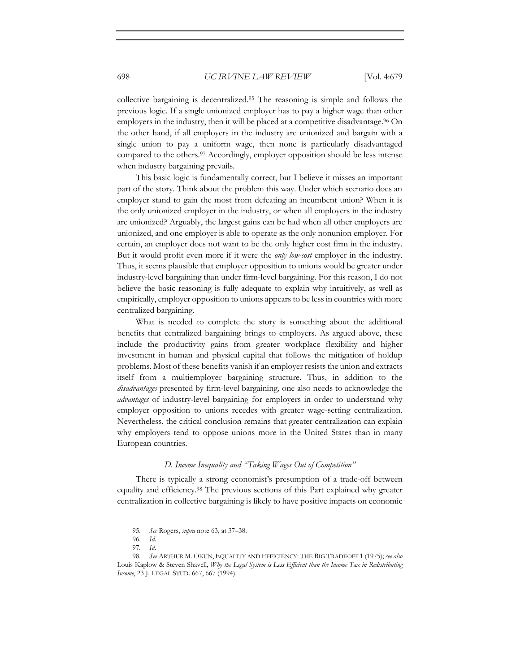collective bargaining is decentralized.95 The reasoning is simple and follows the previous logic. If a single unionized employer has to pay a higher wage than other employers in the industry, then it will be placed at a competitive disadvantage.<sup>96</sup> On the other hand, if all employers in the industry are unionized and bargain with a single union to pay a uniform wage, then none is particularly disadvantaged compared to the others.97 Accordingly, employer opposition should be less intense when industry bargaining prevails.

This basic logic is fundamentally correct, but I believe it misses an important part of the story. Think about the problem this way. Under which scenario does an employer stand to gain the most from defeating an incumbent union? When it is the only unionized employer in the industry, or when all employers in the industry are unionized? Arguably, the largest gains can be had when all other employers are unionized, and one employer is able to operate as the only nonunion employer. For certain, an employer does not want to be the only higher cost firm in the industry. But it would profit even more if it were the *only low-cost* employer in the industry. Thus, it seems plausible that employer opposition to unions would be greater under industry-level bargaining than under firm-level bargaining. For this reason, I do not believe the basic reasoning is fully adequate to explain why intuitively, as well as empirically, employer opposition to unions appears to be less in countries with more centralized bargaining.

What is needed to complete the story is something about the additional benefits that centralized bargaining brings to employers. As argued above, these include the productivity gains from greater workplace flexibility and higher investment in human and physical capital that follows the mitigation of holdup problems. Most of these benefits vanish if an employer resists the union and extracts itself from a multiemployer bargaining structure. Thus, in addition to the *disadvantages* presented by firm-level bargaining, one also needs to acknowledge the *advantages* of industry-level bargaining for employers in order to understand why employer opposition to unions recedes with greater wage-setting centralization. Nevertheless, the critical conclusion remains that greater centralization can explain why employers tend to oppose unions more in the United States than in many European countries.

#### *D. Income Inequality and "Taking Wages Out of Competition"*

There is typically a strong economist's presumption of a trade-off between equality and efficiency.98 The previous sections of this Part explained why greater centralization in collective bargaining is likely to have positive impacts on economic

<sup>95</sup>*. See* Rogers, *supra* note 63, at 37–38.

<sup>96</sup>*. Id.* 

<sup>97</sup>*. Id.* 

<sup>98</sup>*. See* ARTHUR M. OKUN, EQUALITY AND EFFICIENCY: THE BIG TRADEOFF 1 (1975); *see also* Louis Kaplow & Steven Shavell, *Why the Legal System is Less Efficient than the Income Tax in Redistributing Income*, 23 J. LEGAL STUD. 667, 667 (1994).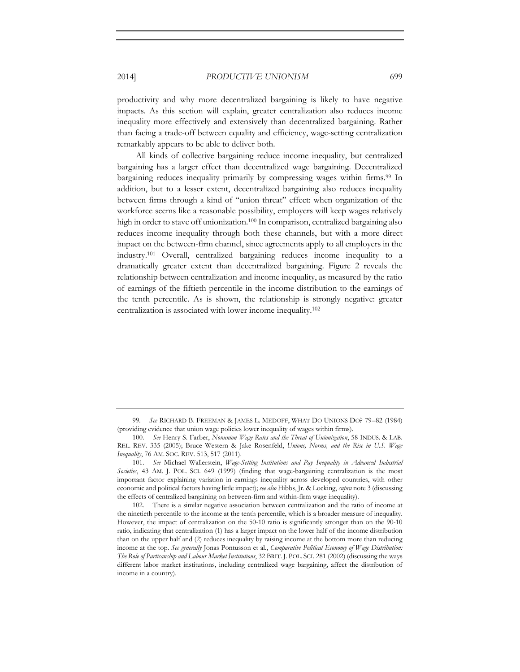productivity and why more decentralized bargaining is likely to have negative impacts. As this section will explain, greater centralization also reduces income inequality more effectively and extensively than decentralized bargaining. Rather than facing a trade-off between equality and efficiency, wage-setting centralization remarkably appears to be able to deliver both.

All kinds of collective bargaining reduce income inequality, but centralized bargaining has a larger effect than decentralized wage bargaining. Decentralized bargaining reduces inequality primarily by compressing wages within firms.<sup>99</sup> In addition, but to a lesser extent, decentralized bargaining also reduces inequality between firms through a kind of "union threat" effect: when organization of the workforce seems like a reasonable possibility, employers will keep wages relatively high in order to stave off unionization.<sup>100</sup> In comparison, centralized bargaining also reduces income inequality through both these channels, but with a more direct impact on the between-firm channel, since agreements apply to all employers in the industry.101 Overall, centralized bargaining reduces income inequality to a dramatically greater extent than decentralized bargaining. Figure 2 reveals the relationship between centralization and income inequality, as measured by the ratio of earnings of the fiftieth percentile in the income distribution to the earnings of the tenth percentile. As is shown, the relationship is strongly negative: greater centralization is associated with lower income inequality.102

<sup>99</sup>*. See* RICHARD B. FREEMAN & JAMES L. MEDOFF, WHAT DO UNIONS DO? 79–82 (1984) (providing evidence that union wage policies lower inequality of wages within firms).

<sup>100</sup>*. See* Henry S. Farber, *Nonunion Wage Rates and the Threat of Unionization*, 58 INDUS. & LAB. REL. REV. 335 (2005); Bruce Western & Jake Rosenfeld, *Unions, Norms, and the Rise in U.S. Wage Inequality*, 76 AM. SOC. REV. 513, 517 (2011).

<sup>101</sup>*. See* Michael Wallerstein, *Wage-Setting Institutions and Pay Inequality in Advanced Industrial Societies*, 43 AM. J. POL. SCI. 649 (1999) (finding that wage-bargaining centralization is the most important factor explaining variation in earnings inequality across developed countries, with other economic and political factors having little impact); *see also* Hibbs, Jr. & Locking, *supra* note 3 (discussing the effects of centralized bargaining on between-firm and within-firm wage inequality).

<sup>102.</sup> There is a similar negative association between centralization and the ratio of income at the ninetieth percentile to the income at the tenth percentile, which is a broader measure of inequality. However, the impact of centralization on the 50-10 ratio is significantly stronger than on the 90-10 ratio, indicating that centralization (1) has a larger impact on the lower half of the income distribution than on the upper half and (2) reduces inequality by raising income at the bottom more than reducing income at the top. *See generally* Jonas Pontusson et al., *Comparative Political Economy of Wage Distribution: The Role of Partisanship and Labour Market Institutions*, 32 BRIT. J. POL. SCI. 281 (2002) (discussing the ways different labor market institutions, including centralized wage bargaining, affect the distribution of income in a country).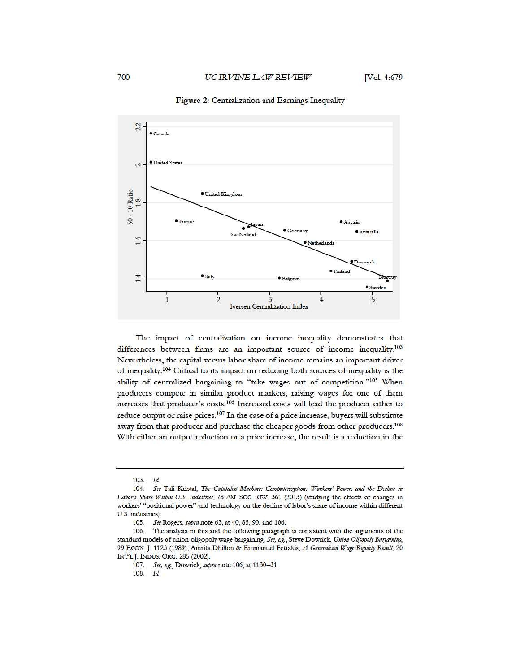

#### Figure 2: Centralization and Earnings Inequality

The impact of centralization on income inequality demonstrates that differences between firms are an important source of income inequality.<sup>103</sup> Nevertheless, the capital versus labor share of income remains an important driver of inequality.<sup>104</sup> Critical to its impact on reducing both sources of inequality is the ability of centralized bargaining to "take wages out of competition."<sup>105</sup> When producers compete in similar product markets, raising wages for one of them increases that producer's costs.<sup>106</sup> Increased costs will lead the producer either to reduce output or raise prices.<sup>107</sup> In the case of a price increase, buyers will substitute away from that producer and purchase the cheaper goods from other producers.<sup>108</sup> With either an output reduction or a price increase, the result is a reduction in the

108.  $Id.$ 

<sup>103.</sup> Id.

<sup>104.</sup> See Tali Kristal, The Capitalist Machine: Computerization, Workers' Power, and the Decline in Labor's Share Within U.S. Industries, 78 AM. SOC. REV. 361 (2013) (studying the effects of changes in workers' "positional power" and technology on the decline of labor's share of income within different U.S. industries).

<sup>105.</sup> See Rogers, supra note 63, at 40, 85, 90, and 106.

The analysis in this and the following paragraph is consistent with the arguments of the 106. standard models of union-oligopoly wage bargaining. See, e.g., Steve Dowrick, Union-Oligopoly Bargaining, 99 ECON. J. 1123 (1989); Amrita Dhillon & Emmanuel Petrakis, A Generalised Wage Rigidity Result, 20 INT'L J. INDUS. ORG. 285 (2002).

<sup>107.</sup> See, e.g., Dowrick, supra note 106, at 1130-31.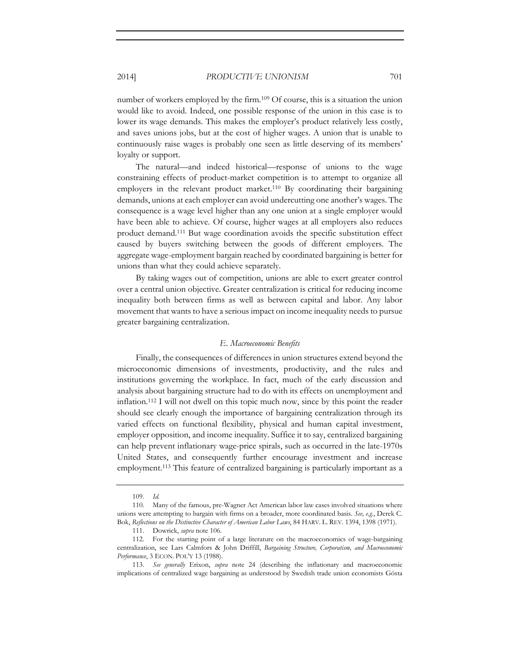number of workers employed by the firm.109 Of course, this is a situation the union would like to avoid. Indeed, one possible response of the union in this case is to lower its wage demands. This makes the employer's product relatively less costly, and saves unions jobs, but at the cost of higher wages. A union that is unable to continuously raise wages is probably one seen as little deserving of its members' loyalty or support.

The natural—and indeed historical—response of unions to the wage constraining effects of product-market competition is to attempt to organize all employers in the relevant product market.<sup>110</sup> By coordinating their bargaining demands, unions at each employer can avoid undercutting one another's wages. The consequence is a wage level higher than any one union at a single employer would have been able to achieve. Of course, higher wages at all employers also reduces product demand.111 But wage coordination avoids the specific substitution effect caused by buyers switching between the goods of different employers. The aggregate wage-employment bargain reached by coordinated bargaining is better for unions than what they could achieve separately.

By taking wages out of competition, unions are able to exert greater control over a central union objective. Greater centralization is critical for reducing income inequality both between firms as well as between capital and labor. Any labor movement that wants to have a serious impact on income inequality needs to pursue greater bargaining centralization.

#### *E. Macroeconomic Benefits*

Finally, the consequences of differences in union structures extend beyond the microeconomic dimensions of investments, productivity, and the rules and institutions governing the workplace. In fact, much of the early discussion and analysis about bargaining structure had to do with its effects on unemployment and inflation.112 I will not dwell on this topic much now, since by this point the reader should see clearly enough the importance of bargaining centralization through its varied effects on functional flexibility, physical and human capital investment, employer opposition, and income inequality. Suffice it to say, centralized bargaining can help prevent inflationary wage-price spirals, such as occurred in the late-1970s United States, and consequently further encourage investment and increase employment.113 This feature of centralized bargaining is particularly important as a

<sup>109</sup>*. Id.*

<sup>110.</sup> Many of the famous, pre-Wagner Act American labor law cases involved situations where unions were attempting to bargain with firms on a broader, more coordinated basis. *See, e.g.*, Derek C. Bok, *Reflections on the Distinctive Character of American Labor Laws*, 84 HARV. L. REV. 1394, 1398 (1971).

<sup>111.</sup> Dowrick, *supra* note 106.

<sup>112.</sup> For the starting point of a large literature on the macroeconomics of wage-bargaining centralization, see Lars Calmfors & John Driffill, *Bargaining Structure, Corporatism, and Macroeconomic Performance*, 3 ECON. POL'Y 13 (1988).

<sup>113</sup>*. See generally* Erixon, *supra* note 24 (describing the inflationary and macroeconomic implications of centralized wage bargaining as understood by Swedish trade union economists Gösta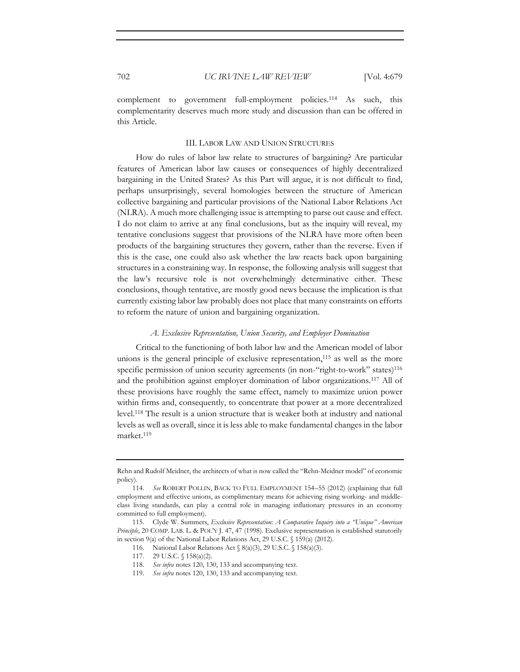complement to government full-employment policies.114 As such, this complementarity deserves much more study and discussion than can be offered in this Article.

#### III. LABOR LAW AND UNION STRUCTURES

How do rules of labor law relate to structures of bargaining? Are particular features of American labor law causes or consequences of highly decentralized bargaining in the United States? As this Part will argue, it is not difficult to find, perhaps unsurprisingly, several homologies between the structure of American collective bargaining and particular provisions of the National Labor Relations Act (NLRA). A much more challenging issue is attempting to parse out cause and effect. I do not claim to arrive at any final conclusions, but as the inquiry will reveal, my tentative conclusions suggest that provisions of the NLRA have more often been products of the bargaining structures they govern, rather than the reverse. Even if this is the case, one could also ask whether the law reacts back upon bargaining structures in a constraining way. In response, the following analysis will suggest that the law's recursive role is not overwhelmingly determinative either. These conclusions, though tentative, are mostly good news because the implication is that currently existing labor law probably does not place that many constraints on efforts to reform the nature of union and bargaining organization.

#### *A. Exclusive Representation, Union Security, and Employer Domination*

Critical to the functioning of both labor law and the American model of labor unions is the general principle of exclusive representation,<sup>115</sup> as well as the more specific permission of union security agreements (in non-"right-to-work" states)<sup>116</sup> and the prohibition against employer domination of labor organizations.117 All of these provisions have roughly the same effect, namely to maximize union power within firms and, consequently, to concentrate that power at a more decentralized level.118 The result is a union structure that is weaker both at industry and national levels as well as overall, since it is less able to make fundamental changes in the labor market.119

Rehn and Rudolf Meidner, the architects of what is now called the "Rehn-Meidner model" of economic policy).

<sup>114</sup>*. See* ROBERT POLLIN, BACK TO FULL EMPLOYMENT 154–55 (2012) (explaining that full employment and effective unions, as complimentary means for achieving rising working- and middleclass living standards, can play a central role in managing inflationary pressures in an economy committed to full employment).

<sup>115.</sup> Clyde W. Summers, *Exclusive Representation: A Comparative Inquiry into a "Unique" American Principle*, 20 COMP. LAB. L. & POL'Y J. 47, 47 (1998). Exclusive representation is established statutorily in section 9(a) of the National Labor Relations Act, 29 U.S.C. § 159(a) (2012).

<sup>116.</sup> National Labor Relations Act § 8(a)(3), 29 U.S.C. § 158(a)(3).

<sup>117. 29</sup> U.S.C. § 158(a)(2).

<sup>118</sup>*. See infra* notes 120, 130, 133 and accompanying text.

<sup>119</sup>*. See infra* notes 120, 130, 133 and accompanying text.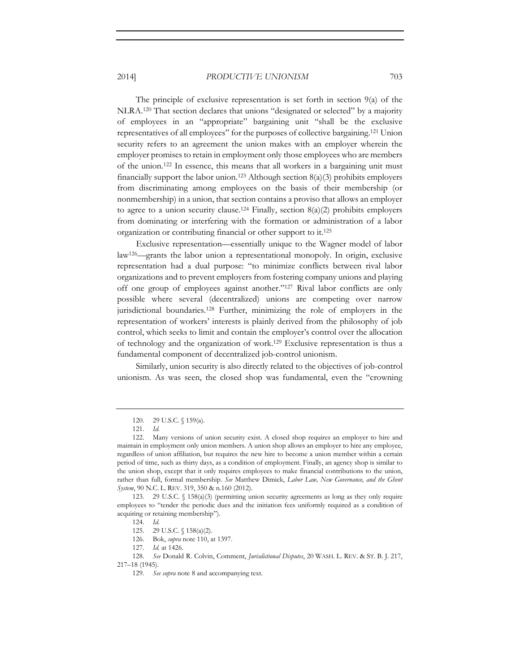The principle of exclusive representation is set forth in section 9(a) of the NLRA.120 That section declares that unions "designated or selected" by a majority of employees in an "appropriate" bargaining unit "shall be the exclusive representatives of all employees" for the purposes of collective bargaining.121 Union security refers to an agreement the union makes with an employer wherein the employer promises to retain in employment only those employees who are members of the union.122 In essence, this means that all workers in a bargaining unit must financially support the labor union.<sup>123</sup> Although section  $8(a)(3)$  prohibits employers from discriminating among employees on the basis of their membership (or nonmembership) in a union, that section contains a proviso that allows an employer to agree to a union security clause.<sup>124</sup> Finally, section  $8(a)(2)$  prohibits employers from dominating or interfering with the formation or administration of a labor organization or contributing financial or other support to it.125

Exclusive representation—essentially unique to the Wagner model of labor law126—grants the labor union a representational monopoly. In origin, exclusive representation had a dual purpose: "to minimize conflicts between rival labor organizations and to prevent employers from fostering company unions and playing off one group of employees against another."127 Rival labor conflicts are only possible where several (decentralized) unions are competing over narrow jurisdictional boundaries.128 Further, minimizing the role of employers in the representation of workers' interests is plainly derived from the philosophy of job control, which seeks to limit and contain the employer's control over the allocation of technology and the organization of work.129 Exclusive representation is thus a fundamental component of decentralized job-control unionism.

Similarly, union security is also directly related to the objectives of job-control unionism. As was seen, the closed shop was fundamental, even the "crowning

<sup>120. 29</sup> U.S.C. § 159(a).

<sup>121</sup>*. Id.* 

<sup>122.</sup> Many versions of union security exist. A closed shop requires an employer to hire and maintain in employment only union members. A union shop allows an employer to hire any employee, regardless of union affiliation, but requires the new hire to become a union member within a certain period of time, such as thirty days, as a condition of employment. Finally, an agency shop is similar to the union shop, except that it only requires employees to make financial contributions to the union, rather than full, formal membership. *See* Matthew Dimick, *Labor Law, New Governance, and the Ghent System*, 90 N.C. L. REV. 319, 350 & n.160 (2012).

<sup>123. 29</sup> U.S.C. § 158(a)(3) (permitting union security agreements as long as they only require employees to "tender the periodic dues and the initiation fees uniformly required as a condition of acquiring or retaining membership").

<sup>124</sup>*. Id.* 

<sup>125. 29</sup> U.S.C. § 158(a)(2).

<sup>126.</sup> Bok, *supra* note 110, at 1397.

<sup>127</sup>*. Id.* at 1426.

<sup>128</sup>*. See* Donald R. Colvin, Comment, *Jurisdictional Disputes*, 20 WASH. L. REV. & ST. B. J. 217, 217–18 (1945).

<sup>129</sup>*. See supra* note 8 and accompanying text.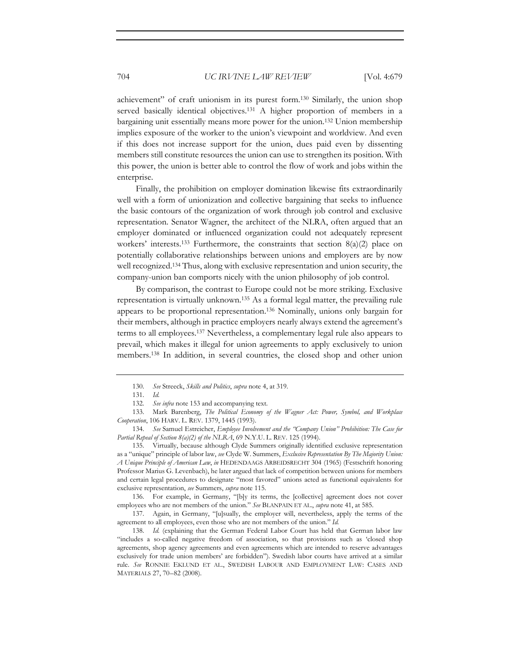achievement" of craft unionism in its purest form.130 Similarly, the union shop served basically identical objectives.<sup>131</sup> A higher proportion of members in a bargaining unit essentially means more power for the union.132 Union membership implies exposure of the worker to the union's viewpoint and worldview. And even if this does not increase support for the union, dues paid even by dissenting members still constitute resources the union can use to strengthen its position. With this power, the union is better able to control the flow of work and jobs within the enterprise.

Finally, the prohibition on employer domination likewise fits extraordinarily well with a form of unionization and collective bargaining that seeks to influence the basic contours of the organization of work through job control and exclusive representation. Senator Wagner, the architect of the NLRA, often argued that an employer dominated or influenced organization could not adequately represent workers' interests.<sup>133</sup> Furthermore, the constraints that section  $8(a)(2)$  place on potentially collaborative relationships between unions and employers are by now well recognized.134 Thus, along with exclusive representation and union security, the company-union ban comports nicely with the union philosophy of job control.

By comparison, the contrast to Europe could not be more striking. Exclusive representation is virtually unknown.135 As a formal legal matter, the prevailing rule appears to be proportional representation.136 Nominally, unions only bargain for their members, although in practice employers nearly always extend the agreement's terms to all employees.137 Nevertheless, a complementary legal rule also appears to prevail, which makes it illegal for union agreements to apply exclusively to union members.138 In addition, in several countries, the closed shop and other union

134*. See* Samuel Estreicher, *Employee Involvement and the "Company Union" Prohibition: The Case for Partial Repeal of Section 8(a)(2) of the NLRA*, 69 N.Y.U. L. REV. 125 (1994).

135. Virtually, because although Clyde Summers originally identified exclusive representation as a "unique" principle of labor law, *see* Clyde W. Summers, *Exclusive Representation By The Majority Union: A Unique Principle of American Law*, *in* HEDENDAAGS ARBEIDSRECHT 304 (1965) (Festschrift honoring Professor Marius G. Levenbach), he later argued that lack of competition between unions for members and certain legal procedures to designate "most favored" unions acted as functional equivalents for exclusive representation, *see* Summers, *supra* note 115.

136. For example, in Germany, "[b]y its terms, the [collective] agreement does not cover employees who are not members of the union." *See* BLANPAIN ET AL., *supra* note 41, at 585.

137. Again, in Germany, "[u]sually, the employer will, nevertheless, apply the terms of the agreement to all employees, even those who are not members of the union." *Id.* 

138*. Id.* (explaining that the German Federal Labor Court has held that German labor law "includes a so-called negative freedom of association, so that provisions such as 'closed shop agreements, shop agency agreements and even agreements which are intended to reserve advantages exclusively for trade union members' are forbidden"). Swedish labor courts have arrived at a similar rule. *See* RONNIE EKLUND ET AL., SWEDISH LABOUR AND EMPLOYMENT LAW: CASES AND MATERIALS 27, 70–82 (2008).

<sup>130</sup>*. See* Streeck, *Skills and Politics*, *supra* note 4, at 319.

<sup>131</sup>*. Id.* 

<sup>132</sup>*. See infra* note 153 and accompanying text.

<sup>133.</sup> Mark Barenberg, *The Political Economy of the Wagner Act: Power, Symbol, and Workplace Cooperation*, 106 HARV. L. REV. 1379, 1445 (1993).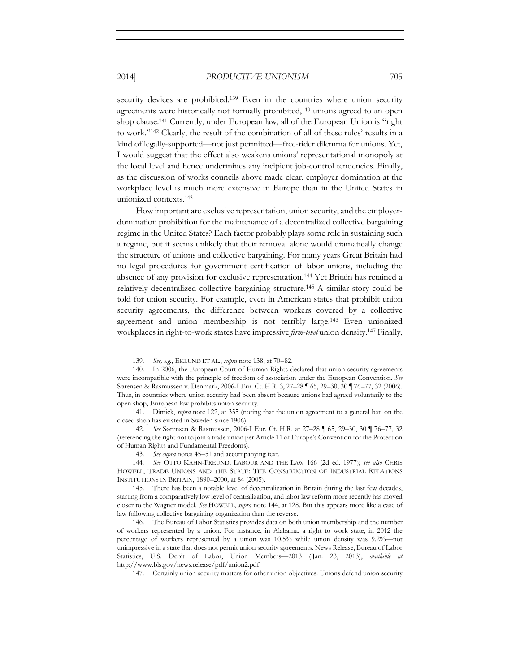security devices are prohibited.<sup>139</sup> Even in the countries where union security agreements were historically not formally prohibited,140 unions agreed to an open shop clause.141 Currently, under European law, all of the European Union is "right to work."142 Clearly, the result of the combination of all of these rules' results in a kind of legally-supported—not just permitted—free-rider dilemma for unions. Yet, I would suggest that the effect also weakens unions' representational monopoly at the local level and hence undermines any incipient job-control tendencies. Finally, as the discussion of works councils above made clear, employer domination at the workplace level is much more extensive in Europe than in the United States in unionized contexts.143

How important are exclusive representation, union security, and the employerdomination prohibition for the maintenance of a decentralized collective bargaining regime in the United States? Each factor probably plays some role in sustaining such a regime, but it seems unlikely that their removal alone would dramatically change the structure of unions and collective bargaining. For many years Great Britain had no legal procedures for government certification of labor unions, including the absence of any provision for exclusive representation.144 Yet Britain has retained a relatively decentralized collective bargaining structure.145 A similar story could be told for union security. For example, even in American states that prohibit union security agreements, the difference between workers covered by a collective agreement and union membership is not terribly large.146 Even unionized workplaces in right-to-work states have impressive *firm-level* union density.147 Finally,

<sup>139</sup>*. See, e.g.*, EKLUND ET AL., *supra* note 138, at 70–82.

<sup>140.</sup> In 2006, the European Court of Human Rights declared that union-security agreements were incompatible with the principle of freedom of association under the European Convention. *See* Sørensen & Rasmussen v. Denmark, 2006-I Eur. Ct. H.R. 3, 27–28 ¶ 65, 29–30, 30 ¶ 76–77, 32 (2006). Thus, in countries where union security had been absent because unions had agreed voluntarily to the open shop, European law prohibits union security.

<sup>141.</sup> Dimick, *supra* note 122, at 355 (noting that the union agreement to a general ban on the closed shop has existed in Sweden since 1906).

<sup>142</sup>*. See* Sørensen & Rasmussen, 2006-I Eur. Ct. H.R. at 27–28 ¶ 65, 29–30, 30 ¶ 76–77, 32 (referencing the right not to join a trade union per Article 11 of Europe's Convention for the Protection of Human Rights and Fundamental Freedoms).

<sup>143</sup>*. See supra* notes 45–51 and accompanying text.

<sup>144</sup>*. See* OTTO KAHN-FREUND, LABOUR AND THE LAW 166 (2d ed. 1977); *see also* CHRIS HOWELL, TRADE UNIONS AND THE STATE: THE CONSTRUCTION OF INDUSTRIAL RELATIONS INSTITUTIONS IN BRITAIN, 1890–2000, at 84 (2005).

<sup>145.</sup> There has been a notable level of decentralization in Britain during the last few decades, starting from a comparatively low level of centralization, and labor law reform more recently has moved closer to the Wagner model. *See* HOWELL, *supra* note 144, at 128. But this appears more like a case of law following collective bargaining organization than the reverse.

<sup>146.</sup> The Bureau of Labor Statistics provides data on both union membership and the number of workers represented by a union. For instance, in Alabama, a right to work state, in 2012 the percentage of workers represented by a union was 10.5% while union density was 9.2%—not unimpressive in a state that does not permit union security agreements. News Release, Bureau of Labor Statistics, U.S. Dep't of Labor, Union Members—2013 ( Jan. 23, 2013), *available at* http://www.bls.gov/news.release/pdf/union2.pdf.

<sup>147.</sup> Certainly union security matters for other union objectives. Unions defend union security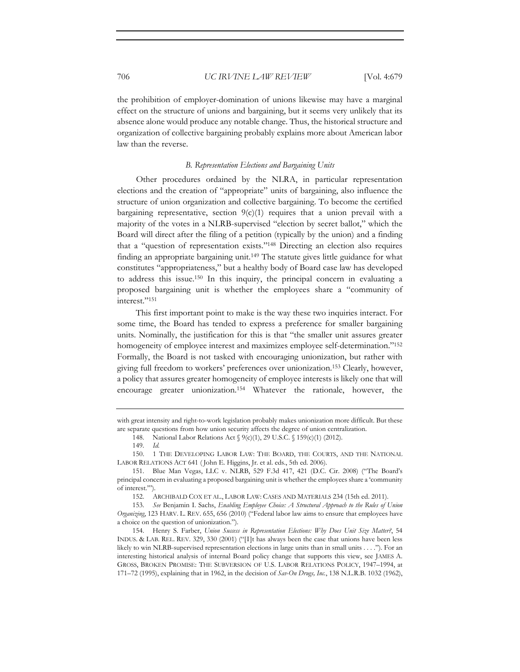the prohibition of employer-domination of unions likewise may have a marginal effect on the structure of unions and bargaining, but it seems very unlikely that its absence alone would produce any notable change. Thus, the historical structure and organization of collective bargaining probably explains more about American labor law than the reverse.

#### *B. Representation Elections and Bargaining Units*

Other procedures ordained by the NLRA, in particular representation elections and the creation of "appropriate" units of bargaining, also influence the structure of union organization and collective bargaining. To become the certified bargaining representative, section  $9(c)(1)$  requires that a union prevail with a majority of the votes in a NLRB-supervised "election by secret ballot," which the Board will direct after the filing of a petition (typically by the union) and a finding that a "question of representation exists."148 Directing an election also requires finding an appropriate bargaining unit.149 The statute gives little guidance for what constitutes "appropriateness," but a healthy body of Board case law has developed to address this issue.150 In this inquiry, the principal concern in evaluating a proposed bargaining unit is whether the employees share a "community of interest."151

This first important point to make is the way these two inquiries interact. For some time, the Board has tended to express a preference for smaller bargaining units. Nominally, the justification for this is that "the smaller unit assures greater homogeneity of employee interest and maximizes employee self-determination."<sup>152</sup> Formally, the Board is not tasked with encouraging unionization, but rather with giving full freedom to workers' preferences over unionization.153 Clearly, however, a policy that assures greater homogeneity of employee interests is likely one that will encourage greater unionization.154 Whatever the rationale, however, the

with great intensity and right-to-work legislation probably makes unionization more difficult. But these are separate questions from how union security affects the degree of union centralization.

<sup>148.</sup> National Labor Relations Act § 9(c)(1), 29 U.S.C. § 159(c)(1) (2012).

<sup>149</sup>*. Id.* 

<sup>150. 1</sup> THE DEVELOPING LABOR LAW: THE BOARD, THE COURTS, AND THE NATIONAL LABOR RELATIONS ACT 641 ( John E. Higgins, Jr. et al. eds., 5th ed. 2006).

<sup>151.</sup> Blue Man Vegas, LLC v. NLRB, 529 F.3d 417, 421 (D.C. Cir. 2008) ("The Board's principal concern in evaluating a proposed bargaining unit is whether the employees share a 'community of interest.'").

<sup>152.</sup> ARCHIBALD COX ET AL., LABOR LAW: CASES AND MATERIALS 234 (15th ed. 2011).

<sup>153</sup>*. See* Benjamin I. Sachs, *Enabling Employee Choice: A Structural Approach to the Rules of Union Organizing*, 123 HARV. L. REV. 655, 656 (2010) ("Federal labor law aims to ensure that employees have a choice on the question of unionization.").

<sup>154.</sup> Henry S. Farber, *Union Success in Representation Elections: Why Does Unit Size Matter?*, 54 INDUS. & LAB. REL. REV. 329, 330 (2001) ("[I]t has always been the case that unions have been less likely to win NLRB-supervised representation elections in large units than in small units . . . ."). For an interesting historical analysis of internal Board policy change that supports this view, see JAMES A. GROSS, BROKEN PROMISE: THE SUBVERSION OF U.S. LABOR RELATIONS POLICY, 1947–1994, at 171–72 (1995), explaining that in 1962, in the decision of *Sav-On Drugs, Inc.*, 138 N.L.R.B. 1032 (1962),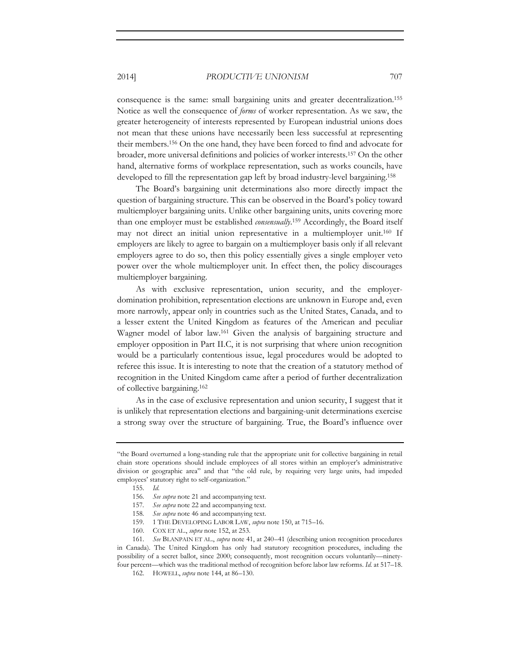consequence is the same: small bargaining units and greater decentralization.155 Notice as well the consequence of *forms* of worker representation. As we saw, the greater heterogeneity of interests represented by European industrial unions does not mean that these unions have necessarily been less successful at representing their members.156 On the one hand, they have been forced to find and advocate for broader, more universal definitions and policies of worker interests.157 On the other hand, alternative forms of workplace representation, such as works councils, have developed to fill the representation gap left by broad industry-level bargaining.158

The Board's bargaining unit determinations also more directly impact the question of bargaining structure. This can be observed in the Board's policy toward multiemployer bargaining units. Unlike other bargaining units, units covering more than one employer must be established *consensually*. 159 Accordingly, the Board itself may not direct an initial union representative in a multiemployer unit.160 If employers are likely to agree to bargain on a multiemployer basis only if all relevant employers agree to do so, then this policy essentially gives a single employer veto power over the whole multiemployer unit. In effect then, the policy discourages multiemployer bargaining.

As with exclusive representation, union security, and the employerdomination prohibition, representation elections are unknown in Europe and, even more narrowly, appear only in countries such as the United States, Canada, and to a lesser extent the United Kingdom as features of the American and peculiar Wagner model of labor law.161 Given the analysis of bargaining structure and employer opposition in Part II.C, it is not surprising that where union recognition would be a particularly contentious issue, legal procedures would be adopted to referee this issue. It is interesting to note that the creation of a statutory method of recognition in the United Kingdom came after a period of further decentralization of collective bargaining.162

As in the case of exclusive representation and union security, I suggest that it is unlikely that representation elections and bargaining-unit determinations exercise a strong sway over the structure of bargaining. True, the Board's influence over

- 157*. See supra* note 22 and accompanying text.
- 158*. See supra* note 46 and accompanying text.
- 159. 1 THE DEVELOPING LABOR LAW, *supra* note 150, at 715–16.
- 160. COX ET AL., *supra* note 152, at 253.

161*. See* BLANPAIN ET AL., *supra* note 41, at 240–41 (describing union recognition procedures in Canada). The United Kingdom has only had statutory recognition procedures, including the possibility of a secret ballot, since 2000; consequently, most recognition occurs voluntarily—ninetyfour percent—which was the traditional method of recognition before labor law reforms. *Id.* at 517–18.

<sup>&</sup>quot;the Board overturned a long-standing rule that the appropriate unit for collective bargaining in retail chain store operations should include employees of all stores within an employer's administrative division or geographic area" and that "the old rule, by requiring very large units, had impeded employees' statutory right to self-organization."

<sup>155</sup>*. Id.* 

<sup>156</sup>*. See supra* note 21 and accompanying text.

<sup>162.</sup> HOWELL, *supra* note 144, at 86–130.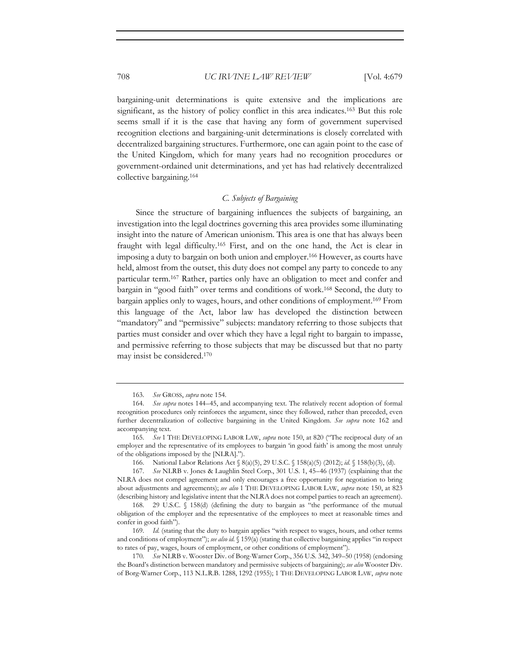bargaining-unit determinations is quite extensive and the implications are significant, as the history of policy conflict in this area indicates.163 But this role seems small if it is the case that having any form of government supervised recognition elections and bargaining-unit determinations is closely correlated with decentralized bargaining structures. Furthermore, one can again point to the case of the United Kingdom, which for many years had no recognition procedures or government-ordained unit determinations, and yet has had relatively decentralized collective bargaining.164

### *C. Subjects of Bargaining*

Since the structure of bargaining influences the subjects of bargaining, an investigation into the legal doctrines governing this area provides some illuminating insight into the nature of American unionism. This area is one that has always been fraught with legal difficulty.165 First, and on the one hand, the Act is clear in imposing a duty to bargain on both union and employer.166 However, as courts have held, almost from the outset, this duty does not compel any party to concede to any particular term.167 Rather, parties only have an obligation to meet and confer and bargain in "good faith" over terms and conditions of work.168 Second, the duty to bargain applies only to wages, hours, and other conditions of employment.169 From this language of the Act, labor law has developed the distinction between "mandatory" and "permissive" subjects: mandatory referring to those subjects that parties must consider and over which they have a legal right to bargain to impasse, and permissive referring to those subjects that may be discussed but that no party may insist be considered.170

<sup>163</sup>*. See* GROSS, *supra* note 154.

<sup>164</sup>*. See supra* notes 144–45, and accompanying text. The relatively recent adoption of formal recognition procedures only reinforces the argument, since they followed, rather than preceded, even further decentralization of collective bargaining in the United Kingdom. *See supra* note 162 and accompanying text.

<sup>165</sup>*. See* 1 THE DEVELOPING LABOR LAW, *supra* note 150, at 820 ("The reciprocal duty of an employer and the representative of its employees to bargain 'in good faith' is among the most unruly of the obligations imposed by the [NLRA].").

<sup>166.</sup> National Labor Relations Act § 8(a)(5), 29 U.S.C. § 158(a)(5) (2012); *id.* § 158(b)(3), (d).

<sup>167</sup>*. See* NLRB v. Jones & Laughlin Steel Corp., 301 U.S. 1, 45–46 (1937) (explaining that the NLRA does not compel agreement and only encourages a free opportunity for negotiation to bring about adjustments and agreements); *see also* 1 THE DEVELOPING LABOR LAW, *supra* note 150, at 823 (describing history and legislative intent that the NLRA does not compel parties to reach an agreement).

<sup>168. 29</sup> U.S.C. § 158(d) (defining the duty to bargain as "the performance of the mutual obligation of the employer and the representative of the employees to meet at reasonable times and confer in good faith").

<sup>169</sup>*. Id.* (stating that the duty to bargain applies "with respect to wages, hours, and other terms and conditions of employment"); *see also id.* § 159(a) (stating that collective bargaining applies "in respect to rates of pay, wages, hours of employment, or other conditions of employment").

<sup>170</sup>*. See* NLRB v. Wooster Div. of Borg-Warner Corp., 356 U.S. 342, 349–50 (1958) (endorsing the Board's distinction between mandatory and permissive subjects of bargaining); *see also* Wooster Div. of Borg-Warner Corp., 113 N.L.R.B. 1288, 1292 (1955); 1 THE DEVELOPING LABOR LAW, *supra* note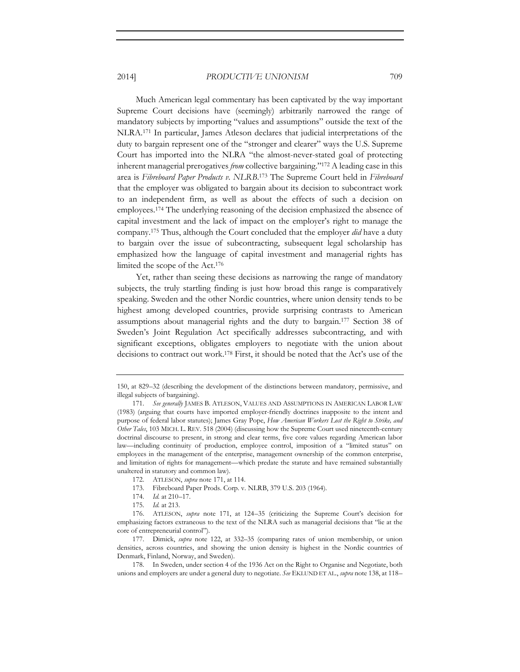Much American legal commentary has been captivated by the way important Supreme Court decisions have (seemingly) arbitrarily narrowed the range of mandatory subjects by importing "values and assumptions" outside the text of the NLRA.171 In particular, James Atleson declares that judicial interpretations of the duty to bargain represent one of the "stronger and clearer" ways the U.S. Supreme Court has imported into the NLRA "the almost-never-stated goal of protecting inherent managerial prerogatives *from* collective bargaining."172 A leading case in this area is *Fibreboard Paper Products v. NLRB*. 173 The Supreme Court held in *Fibreboard*  that the employer was obligated to bargain about its decision to subcontract work to an independent firm, as well as about the effects of such a decision on employees.174 The underlying reasoning of the decision emphasized the absence of capital investment and the lack of impact on the employer's right to manage the company.175 Thus, although the Court concluded that the employer *did* have a duty to bargain over the issue of subcontracting, subsequent legal scholarship has emphasized how the language of capital investment and managerial rights has limited the scope of the Act.176

Yet, rather than seeing these decisions as narrowing the range of mandatory subjects, the truly startling finding is just how broad this range is comparatively speaking. Sweden and the other Nordic countries, where union density tends to be highest among developed countries, provide surprising contrasts to American assumptions about managerial rights and the duty to bargain.177 Section 38 of Sweden's Joint Regulation Act specifically addresses subcontracting, and with significant exceptions, obligates employers to negotiate with the union about decisions to contract out work.178 First, it should be noted that the Act's use of the

- 172. ATLESON, *supra* note 171, at 114.
- 173. Fibreboard Paper Prods. Corp. v. NLRB, 379 U.S. 203 (1964).
- 174*. Id.* at 210–17.
- 175*. Id.* at 213.

177. Dimick, *supra* note 122, at 332–35 (comparing rates of union membership, or union densities, across countries, and showing the union density is highest in the Nordic countries of Denmark, Finland, Norway, and Sweden).

178. In Sweden, under section 4 of the 1936 Act on the Right to Organise and Negotiate, both unions and employers are under a general duty to negotiate. *See* EKLUND ET AL., *supra* note 138, at 118–

<sup>150,</sup> at 829–32 (describing the development of the distinctions between mandatory, permissive, and illegal subjects of bargaining).

<sup>171</sup>*. See generally* JAMES B. ATLESON, VALUES AND ASSUMPTIONS IN AMERICAN LABOR LAW (1983) (arguing that courts have imported employer-friendly doctrines inapposite to the intent and purpose of federal labor statutes); James Gray Pope, *How American Workers Lost the Right to Strike, and Other Tales*, 103 MICH. L. REV. 518 (2004) (discussing how the Supreme Court used nineteenth-century doctrinal discourse to present, in strong and clear terms, five core values regarding American labor law—including continuity of production, employee control, imposition of a "limited status" on employees in the management of the enterprise, management ownership of the common enterprise, and limitation of rights for management—which predate the statute and have remained substantially unaltered in statutory and common law).

<sup>176.</sup> ATLESON, *supra* note 171, at 124–35 (criticizing the Supreme Court's decision for emphasizing factors extraneous to the text of the NLRA such as managerial decisions that "lie at the core of entrepreneurial control").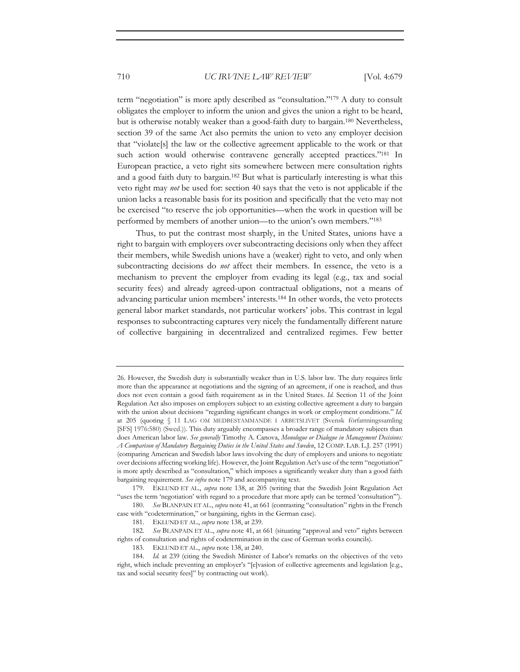term "negotiation" is more aptly described as "consultation."179 A duty to consult obligates the employer to inform the union and gives the union a right to be heard, but is otherwise notably weaker than a good-faith duty to bargain.180 Nevertheless, section 39 of the same Act also permits the union to veto any employer decision that "violate[s] the law or the collective agreement applicable to the work or that such action would otherwise contravene generally accepted practices."<sup>181</sup> In European practice, a veto right sits somewhere between mere consultation rights and a good faith duty to bargain.182 But what is particularly interesting is what this veto right may *not* be used for: section 40 says that the veto is not applicable if the union lacks a reasonable basis for its position and specifically that the veto may not be exercised "to reserve the job opportunities—when the work in question will be performed by members of another union—to the union's own members."183

Thus, to put the contrast most sharply, in the United States, unions have a right to bargain with employers over subcontracting decisions only when they affect their members, while Swedish unions have a (weaker) right to veto, and only when subcontracting decisions do *not* affect their members. In essence, the veto is a mechanism to prevent the employer from evading its legal (e.g., tax and social security fees) and already agreed-upon contractual obligations, not a means of advancing particular union members' interests.184 In other words, the veto protects general labor market standards, not particular workers' jobs. This contrast in legal responses to subcontracting captures very nicely the fundamentally different nature of collective bargaining in decentralized and centralized regimes. Few better

<sup>26.</sup> However, the Swedish duty is substantially weaker than in U.S. labor law. The duty requires little more than the appearance at negotiations and the signing of an agreement, if one is reached, and thus does not even contain a good faith requirement as in the United States. *Id.* Section 11 of the Joint Regulation Act also imposes on employers subject to an existing collective agreement a duty to bargain with the union about decisions "regarding significant changes in work or employment conditions." *Id.* at 205 (quoting § 11 LAG OM MEDBESTAMMANDE I ARBETSLIVET (Svensk författningssamling [SFS] 1976:580) (Swed.)). This duty arguably encompasses a broader range of mandatory subjects than does American labor law. *See generally* Timothy A. Canova, *Monologue or Dialogue in Management Decisions: A Comparison of Mandatory Bargaining Duties in the United States and Sweden*, 12 COMP. LAB. L.J. 257 (1991) (comparing American and Swedish labor laws involving the duty of employers and unions to negotiate over decisions affecting working life). However, the Joint Regulation Act's use of the term "negotiation" is more aptly described as "consultation," which imposes a significantly weaker duty than a good faith bargaining requirement. *See infra* note 179 and accompanying text.

<sup>179.</sup> EKLUND ET AL., *supra* note 138, at 205 (writing that the Swedish Joint Regulation Act "uses the term 'negotiation' with regard to a procedure that more aptly can be termed 'consultation'").

<sup>180</sup>*. See* BLANPAIN ET AL., *supra* note 41, at 661 (contrasting "consultation" rights in the French case with "codetermination," or bargaining, rights in the German case).

<sup>181.</sup> EKLUND ET AL., *supra* note 138, at 239.

<sup>182</sup>*. See* BLANPAIN ET AL., *supra* note 41, at 661 (situating "approval and veto" rights between rights of consultation and rights of codetermination in the case of German works councils).

<sup>183.</sup> EKLUND ET AL., *supra* note 138, at 240.

<sup>184</sup>*. Id.* at 239 (citing the Swedish Minister of Labor's remarks on the objectives of the veto right, which include preventing an employer's "[e]vasion of collective agreements and legislation [e.g., tax and social security fees]" by contracting out work).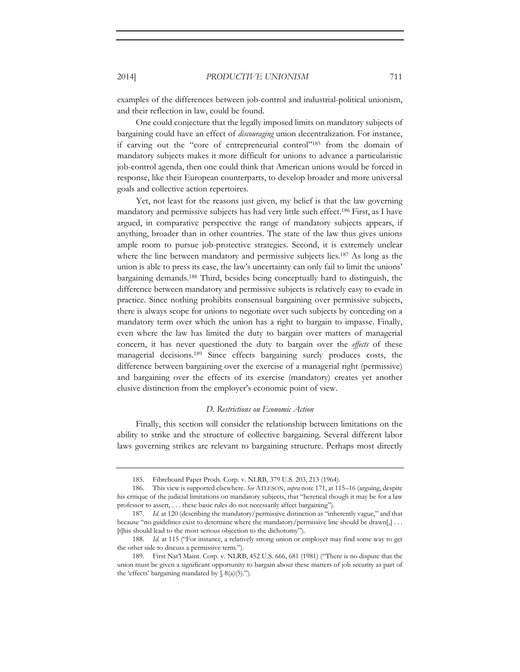examples of the differences between job-control and industrial-political unionism, and their reflection in law, could be found.

One could conjecture that the legally imposed limits on mandatory subjects of bargaining could have an effect of *discouraging* union decentralization. For instance, if carving out the "core of entrepreneurial control"185 from the domain of mandatory subjects makes it more difficult for unions to advance a particularistic job-control agenda, then one could think that American unions would be forced in response, like their European counterparts, to develop broader and more universal goals and collective action repertoires.

Yet, not least for the reasons just given, my belief is that the law governing mandatory and permissive subjects has had very little such effect.186 First, as I have argued, in comparative perspective the range of mandatory subjects appears, if anything, broader than in other countries. The state of the law thus gives unions ample room to pursue job-protective strategies. Second, it is extremely unclear where the line between mandatory and permissive subjects lies.<sup>187</sup> As long as the union is able to press its case, the law's uncertainty can only fail to limit the unions' bargaining demands.188 Third, besides being conceptually hard to distinguish, the difference between mandatory and permissive subjects is relatively easy to evade in practice. Since nothing prohibits consensual bargaining over permissive subjects, there is always scope for unions to negotiate over such subjects by conceding on a mandatory term over which the union has a right to bargain to impasse. Finally, even where the law has limited the duty to bargain over matters of managerial concern, it has never questioned the duty to bargain over the *effects* of these managerial decisions.189 Since effects bargaining surely produces costs, the difference between bargaining over the exercise of a managerial right (permissive) and bargaining over the effects of its exercise (mandatory) creates yet another elusive distinction from the employer's economic point of view.

### *D. Restrictions on Economic Action*

Finally, this section will consider the relationship between limitations on the ability to strike and the structure of collective bargaining. Several different labor laws governing strikes are relevant to bargaining structure. Perhaps most directly

<sup>185.</sup> Fibreboard Paper Prods. Corp. v. NLRB, 379 U.S. 203, 213 (1964).

<sup>186.</sup> This view is supported elsewhere. *See* ATLESON, *supra* note 171, at 115–16 (arguing, despite his critique of the judicial limitations on mandatory subjects, that "heretical though it may be for a law professor to assert, . . . these basic rules do not necessarily affect bargaining").

<sup>187</sup>*. Id.* at 120 (describing the mandatory/permissive distinction as "inherently vague," and that because "no guidelines exist to determine where the mandatory/permissive line should be drawn[,] . . . [t]his should lead to the most serious objection to the dichotomy").

<sup>188</sup>*. Id.* at 115 ("For instance, a relatively strong union or employer may find some way to get the other side to discuss a permissive term.").

<sup>189.</sup> First Nat'l Maint. Corp. v. NLRB, 452 U.S. 666, 681 (1981) ("There is no dispute that the union must be given a significant opportunity to bargain about these matters of job security as part of the 'effects' bargaining mandated by  $\S$  8(a)(5).").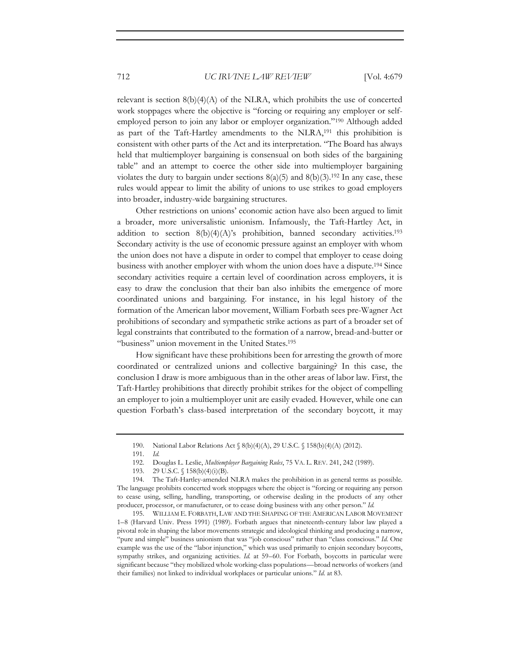relevant is section  $8(b)(4)(A)$  of the NLRA, which prohibits the use of concerted work stoppages where the objective is "forcing or requiring any employer or selfemployed person to join any labor or employer organization."190 Although added as part of the Taft-Hartley amendments to the NLRA,191 this prohibition is consistent with other parts of the Act and its interpretation. "The Board has always held that multiemployer bargaining is consensual on both sides of the bargaining table" and an attempt to coerce the other side into multiemployer bargaining violates the duty to bargain under sections  $8(a)(5)$  and  $8(b)(3)$ .<sup>192</sup> In any case, these rules would appear to limit the ability of unions to use strikes to goad employers into broader, industry-wide bargaining structures.

Other restrictions on unions' economic action have also been argued to limit a broader, more universalistic unionism. Infamously, the Taft-Hartley Act, in addition to section  $8(b)(4)(A)$ 's prohibition, banned secondary activities.<sup>193</sup> Secondary activity is the use of economic pressure against an employer with whom the union does not have a dispute in order to compel that employer to cease doing business with another employer with whom the union does have a dispute.194 Since secondary activities require a certain level of coordination across employers, it is easy to draw the conclusion that their ban also inhibits the emergence of more coordinated unions and bargaining. For instance, in his legal history of the formation of the American labor movement, William Forbath sees pre-Wagner Act prohibitions of secondary and sympathetic strike actions as part of a broader set of legal constraints that contributed to the formation of a narrow, bread-and-butter or "business" union movement in the United States.195

How significant have these prohibitions been for arresting the growth of more coordinated or centralized unions and collective bargaining? In this case, the conclusion I draw is more ambiguous than in the other areas of labor law. First, the Taft-Hartley prohibitions that directly prohibit strikes for the object of compelling an employer to join a multiemployer unit are easily evaded. However, while one can question Forbath's class-based interpretation of the secondary boycott, it may

195. WILLIAM E. FORBATH, LAW AND THE SHAPING OF THE AMERICAN LABOR MOVEMENT 1–8 (Harvard Univ. Press 1991) (1989). Forbath argues that nineteenth-century labor law played a pivotal role in shaping the labor movements strategic and ideological thinking and producing a narrow, "pure and simple" business unionism that was "job conscious" rather than "class conscious." *Id.* One example was the use of the "labor injunction," which was used primarily to enjoin secondary boycotts, sympathy strikes, and organizing activities. *Id.* at 59–60. For Forbath, boycotts in particular were significant because "they mobilized whole working-class populations—broad networks of workers (and their families) not linked to individual workplaces or particular unions." *Id.* at 83.

<sup>190.</sup> National Labor Relations Act § 8(b)(4)(A), 29 U.S.C. § 158(b)(4)(A) (2012).

<sup>191</sup>*. Id.*

<sup>192.</sup> Douglas L. Leslie, *Multiemployer Bargaining Rules*, 75 VA. L. REV. 241, 242 (1989).

<sup>193. 29</sup> U.S.C. § 158(b)(4)(i)(B).

<sup>194.</sup> The Taft-Hartley-amended NLRA makes the prohibition in as general terms as possible. The language prohibits concerted work stoppages where the object is "forcing or requiring any person to cease using, selling, handling, transporting, or otherwise dealing in the products of any other producer, processor, or manufacturer, or to cease doing business with any other person." *Id.*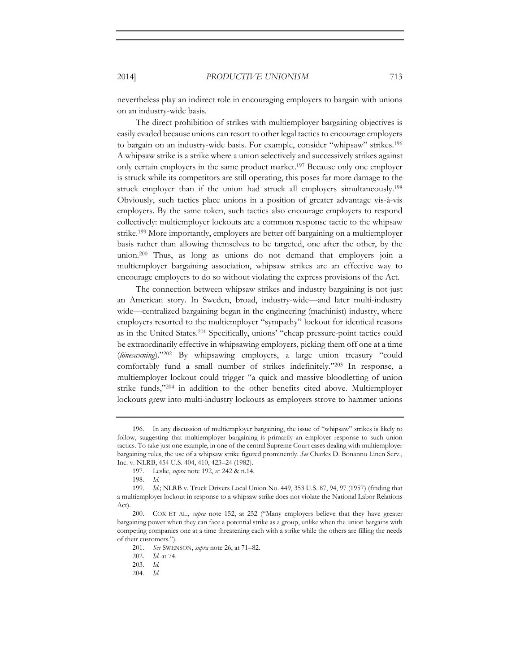nevertheless play an indirect role in encouraging employers to bargain with unions on an industry-wide basis.

The direct prohibition of strikes with multiemployer bargaining objectives is easily evaded because unions can resort to other legal tactics to encourage employers to bargain on an industry-wide basis. For example, consider "whipsaw" strikes.196 A whipsaw strike is a strike where a union selectively and successively strikes against only certain employers in the same product market.197 Because only one employer is struck while its competitors are still operating, this poses far more damage to the struck employer than if the union had struck all employers simultaneously.198 Obviously, such tactics place unions in a position of greater advantage vis-à-vis employers. By the same token, such tactics also encourage employers to respond collectively: multiemployer lockouts are a common response tactic to the whipsaw strike.199 More importantly, employers are better off bargaining on a multiemployer basis rather than allowing themselves to be targeted, one after the other, by the union.<sup>200</sup> Thus, as long as unions do not demand that employers join a multiemployer bargaining association, whipsaw strikes are an effective way to encourage employers to do so without violating the express provisions of the Act.

The connection between whipsaw strikes and industry bargaining is not just an American story. In Sweden, broad, industry-wide—and later multi-industry wide—centralized bargaining began in the engineering (machinist) industry, where employers resorted to the multiemployer "sympathy" lockout for identical reasons as in the United States.201 Specifically, unions' "cheap pressure-point tactics could be extraordinarily effective in whipsawing employers, picking them off one at a time (*lönesaxning*)."202 By whipsawing employers, a large union treasury "could comfortably fund a small number of strikes indefinitely."203 In response, a multiemployer lockout could trigger "a quick and massive bloodletting of union strike funds,"204 in addition to the other benefits cited above. Multiemployer lockouts grew into multi-industry lockouts as employers strove to hammer unions

204*. Id.* 

<sup>196.</sup> In any discussion of multiemployer bargaining, the issue of "whipsaw" strikes is likely to follow, suggesting that multiemployer bargaining is primarily an employer response to such union tactics. To take just one example, in one of the central Supreme Court cases dealing with multiemployer bargaining rules, the use of a whipsaw strike figured prominently. *See* Charles D. Bonanno Linen Serv., Inc. v. NLRB, 454 U.S. 404, 410, 423–24 (1982).

<sup>197.</sup> Leslie, *supra* note 192, at 242 & n.14.

<sup>198</sup>*. Id.* 

<sup>199</sup>*. Id.*; NLRB v. Truck Drivers Local Union No. 449, 353 U.S. 87, 94, 97 (1957) (finding that a multiemployer lockout in response to a whipsaw strike does not violate the National Labor Relations Act).

<sup>200.</sup> COX ET AL., *supra* note 152, at 252 ("Many employers believe that they have greater bargaining power when they can face a potential strike as a group, unlike when the union bargains with competing companies one at a time threatening each with a strike while the others are filling the needs of their customers.").

<sup>201</sup>*. See* SWENSON, *supra* note 26, at 71–82.

<sup>202.</sup> *Id.* at 74.

<sup>203</sup>*. Id.*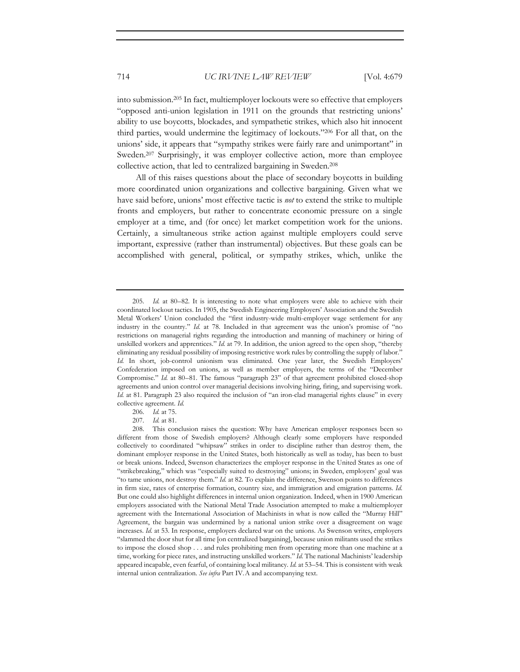into submission.205 In fact, multiemployer lockouts were so effective that employers "opposed anti-union legislation in 1911 on the grounds that restricting unions' ability to use boycotts, blockades, and sympathetic strikes, which also hit innocent third parties, would undermine the legitimacy of lockouts."206 For all that, on the unions' side, it appears that "sympathy strikes were fairly rare and unimportant" in Sweden.207 Surprisingly, it was employer collective action, more than employee collective action, that led to centralized bargaining in Sweden.208

All of this raises questions about the place of secondary boycotts in building more coordinated union organizations and collective bargaining. Given what we have said before, unions' most effective tactic is *not* to extend the strike to multiple fronts and employers, but rather to concentrate economic pressure on a single employer at a time, and (for once) let market competition work for the unions. Certainly, a simultaneous strike action against multiple employers could serve important, expressive (rather than instrumental) objectives. But these goals can be accomplished with general, political, or sympathy strikes, which, unlike the

206*. Id.* at 75.

207*. Id.* at 81.

208. This conclusion raises the question: Why have American employer responses been so different from those of Swedish employers? Although clearly some employers have responded collectively to coordinated "whipsaw" strikes in order to discipline rather than destroy them, the dominant employer response in the United States, both historically as well as today, has been to bust or break unions. Indeed, Swenson characterizes the employer response in the United States as one of "strikebreaking," which was "especially suited to destroying" unions; in Sweden, employers' goal was "to tame unions, not destroy them." *Id.* at 82. To explain the difference, Swenson points to differences in firm size, rates of enterprise formation, country size, and immigration and emigration patterns. *Id.* But one could also highlight differences in internal union organization. Indeed, when in 1900 American employers associated with the National Metal Trade Association attempted to make a multiemployer agreement with the International Association of Machinists in what is now called the "Murray Hill" Agreement, the bargain was undermined by a national union strike over a disagreement on wage increases. *Id.* at 53. In response, employers declared war on the unions. As Swenson writes, employers "slammed the door shut for all time [on centralized bargaining], because union militants used the strikes to impose the closed shop . . . and rules prohibiting men from operating more than one machine at a time, working for piece rates, and instructing unskilled workers." *Id.* The national Machinists' leadership appeared incapable, even fearful, of containing local militancy. *Id.* at 53–54. This is consistent with weak internal union centralization. *See infra* Part IV.A and accompanying text.

<sup>205</sup>*. Id.* at 80–82. It is interesting to note what employers were able to achieve with their coordinated lockout tactics. In 1905, the Swedish Engineering Employers' Association and the Swedish Metal Workers' Union concluded the "first industry-wide multi-employer wage settlement for any industry in the country." *Id.* at 78. Included in that agreement was the union's promise of "no restrictions on managerial rights regarding the introduction and manning of machinery or hiring of unskilled workers and apprentices." *Id.* at 79. In addition, the union agreed to the open shop, "thereby eliminating any residual possibility of imposing restrictive work rules by controlling the supply of labor." *Id.* In short, job-control unionism was eliminated. One year later, the Swedish Employers' Confederation imposed on unions, as well as member employers, the terms of the "December Compromise." *Id.* at 80–81. The famous "paragraph 23" of that agreement prohibited closed-shop agreements and union control over managerial decisions involving hiring, firing, and supervising work. *Id.* at 81. Paragraph 23 also required the inclusion of "an iron-clad managerial rights clause" in every collective agreement. *Id.*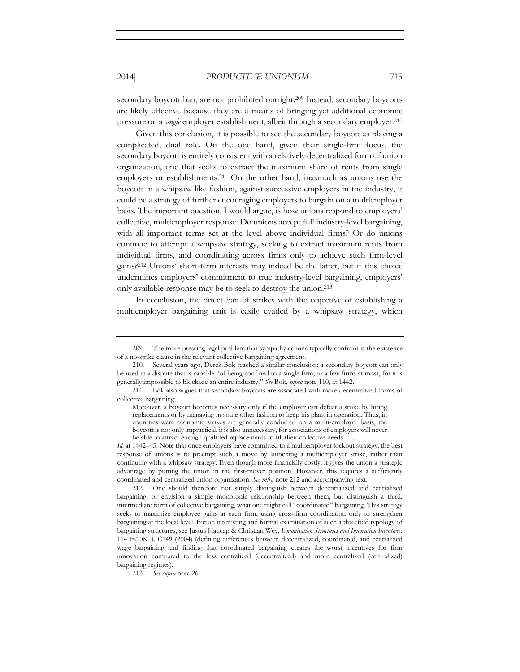secondary boycott ban, are not prohibited outright.<sup>209</sup> Instead, secondary boycotts are likely effective because they are a means of bringing yet additional economic pressure on a *single* employer establishment, albeit through a secondary employer.210

Given this conclusion, it is possible to see the secondary boycott as playing a complicated, dual role. On the one hand, given their single-firm focus, the secondary boycott is entirely consistent with a relatively decentralized form of union organization, one that seeks to extract the maximum share of rents from single employers or establishments.211 On the other hand, inasmuch as unions use the boycott in a whipsaw like fashion, against successive employers in the industry, it could be a strategy of further encouraging employers to bargain on a multiemployer basis. The important question, I would argue, is how unions respond to employers' collective, multiemployer response. Do unions accept full industry-level bargaining, with all important terms set at the level above individual firms? Or do unions continue to attempt a whipsaw strategy, seeking to extract maximum rents from individual firms, and coordinating across firms only to achieve such firm-level gains?212 Unions' short-term interests may indeed be the latter, but if this choice undermines employers' commitment to true industry-level bargaining, employers' only available response may be to seek to destroy the union.213

In conclusion, the direct ban of strikes with the objective of establishing a multiemployer bargaining unit is easily evaded by a whipsaw strategy, which

*Id.* at 1442–43. Note that once employers have committed to a multiemployer lockout strategy, the best response of unions is to preempt such a move by launching a multiemployer strike, rather than continuing with a whipsaw strategy. Even though more financially costly, it gives the union a strategic advantage by putting the union in the first-mover position. However, this requires a sufficiently coordinated and centralized union organization. *See infra* note 212 and accompanying text.

212. One should therefore not simply distinguish between decentralized and centralized bargaining, or envision a simple monotonic relationship between them, but distinguish a third, intermediate form of collective bargaining, what one might call "coordinated" bargaining. This strategy seeks to maximize employee gains at each firm, using cross-firm coordination only to strengthen bargaining at the local level. For an interesting and formal examination of such a threefold typology of bargaining structures, see Justus Haucap & Christian Wey, *Unionisation Structures and Innovation Incentives*, 114 ECON. J. C149 (2004) (defining differences between decentralized, coordinated, and centralized wage bargaining and finding that coordinated bargaining creates the worst incentives for firm innovation compared to the less centralized (decentralized) and more centralized (centralized) bargaining regimes).

213*. See supra* note 26.

<sup>209.</sup> The more pressing legal problem that sympathy actions typically confront is the existence of a no-strike clause in the relevant collective bargaining agreement.

<sup>210.</sup> Several years ago, Derek Bok reached a similar conclusion: a secondary boycott can only be used in a dispute that is capable "of being confined to a single firm, or a few firms at most, for it is generally impossible to blockade an entire industry." *See* Bok, *supra* note 110, at 1442.

<sup>211.</sup> Bok also argues that secondary boycotts are associated with more decentralized forms of collective bargaining:

Moreover, a boycott becomes necessary only if the employer can defeat a strike by hiring replacements or by managing in some other fashion to keep his plant in operation. Thus, in countries were economic strikes are generally conducted on a multi-employer basis, the boycott is not only impractical, it is also unnecessary, for associations of employers will never be able to attract enough qualified replacements to fill their collective needs . . . .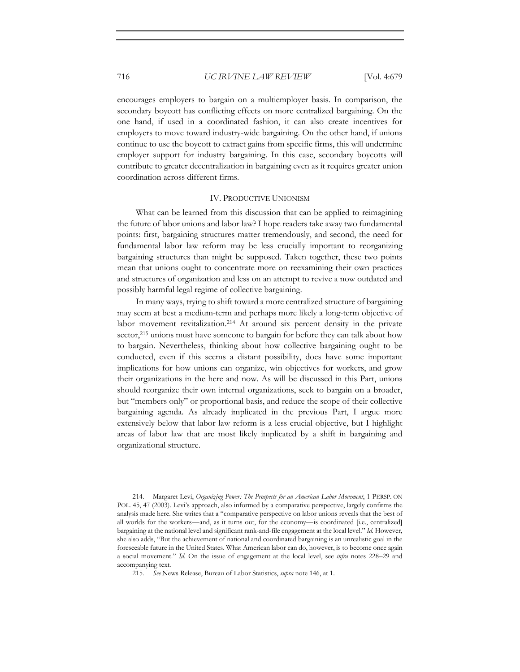encourages employers to bargain on a multiemployer basis. In comparison, the secondary boycott has conflicting effects on more centralized bargaining. On the one hand, if used in a coordinated fashion, it can also create incentives for employers to move toward industry-wide bargaining. On the other hand, if unions continue to use the boycott to extract gains from specific firms, this will undermine employer support for industry bargaining. In this case, secondary boycotts will contribute to greater decentralization in bargaining even as it requires greater union coordination across different firms.

#### IV. PRODUCTIVE UNIONISM

What can be learned from this discussion that can be applied to reimagining the future of labor unions and labor law? I hope readers take away two fundamental points: first, bargaining structures matter tremendously, and second, the need for fundamental labor law reform may be less crucially important to reorganizing bargaining structures than might be supposed. Taken together, these two points mean that unions ought to concentrate more on reexamining their own practices and structures of organization and less on an attempt to revive a now outdated and possibly harmful legal regime of collective bargaining.

In many ways, trying to shift toward a more centralized structure of bargaining may seem at best a medium-term and perhaps more likely a long-term objective of labor movement revitalization.214 At around six percent density in the private sector,<sup>215</sup> unions must have someone to bargain for before they can talk about how to bargain. Nevertheless, thinking about how collective bargaining ought to be conducted, even if this seems a distant possibility, does have some important implications for how unions can organize, win objectives for workers, and grow their organizations in the here and now. As will be discussed in this Part, unions should reorganize their own internal organizations, seek to bargain on a broader, but "members only" or proportional basis, and reduce the scope of their collective bargaining agenda. As already implicated in the previous Part, I argue more extensively below that labor law reform is a less crucial objective, but I highlight areas of labor law that are most likely implicated by a shift in bargaining and organizational structure.

<sup>214.</sup> Margaret Levi, *Organizing Power: The Prospects for an American Labor Movement*, 1 PERSP. ON POL. 45, 47 (2003). Levi's approach, also informed by a comparative perspective, largely confirms the analysis made here. She writes that a "comparative perspective on labor unions reveals that the best of all worlds for the workers—and, as it turns out, for the economy—is coordinated [i.e., centralized] bargaining at the national level and significant rank-and-file engagement at the local level." *Id.* However, she also adds, "But the achievement of national and coordinated bargaining is an unrealistic goal in the foreseeable future in the United States. What American labor can do, however, is to become once again a social movement." *Id.* On the issue of engagement at the local level, see *infra* notes 228–29 and accompanying text.

<sup>215</sup>*. See* News Release, Bureau of Labor Statistics, *supra* note 146, at 1.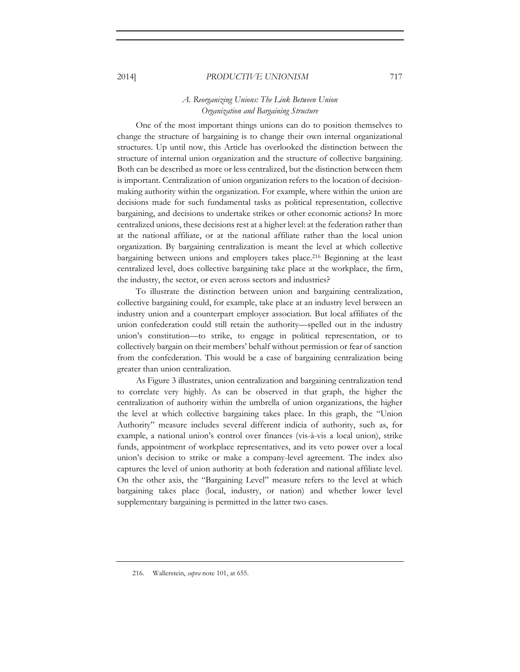# *A. Reorganizing Unions: The Link Between Union Organization and Bargaining Structure*

One of the most important things unions can do to position themselves to change the structure of bargaining is to change their own internal organizational structures. Up until now, this Article has overlooked the distinction between the structure of internal union organization and the structure of collective bargaining. Both can be described as more or less centralized, but the distinction between them is important. Centralization of union organization refers to the location of decisionmaking authority within the organization. For example, where within the union are decisions made for such fundamental tasks as political representation, collective bargaining, and decisions to undertake strikes or other economic actions? In more centralized unions, these decisions rest at a higher level: at the federation rather than at the national affiliate, or at the national affiliate rather than the local union organization. By bargaining centralization is meant the level at which collective bargaining between unions and employers takes place.216 Beginning at the least centralized level, does collective bargaining take place at the workplace, the firm, the industry, the sector, or even across sectors and industries?

To illustrate the distinction between union and bargaining centralization, collective bargaining could, for example, take place at an industry level between an industry union and a counterpart employer association. But local affiliates of the union confederation could still retain the authority—spelled out in the industry union's constitution—to strike, to engage in political representation, or to collectively bargain on their members' behalf without permission or fear of sanction from the confederation. This would be a case of bargaining centralization being greater than union centralization.

As Figure 3 illustrates, union centralization and bargaining centralization tend to correlate very highly. As can be observed in that graph, the higher the centralization of authority within the umbrella of union organizations, the higher the level at which collective bargaining takes place. In this graph, the "Union Authority" measure includes several different indicia of authority, such as, for example, a national union's control over finances (vis-à-vis a local union), strike funds, appointment of workplace representatives, and its veto power over a local union's decision to strike or make a company-level agreement. The index also captures the level of union authority at both federation and national affiliate level. On the other axis, the "Bargaining Level" measure refers to the level at which bargaining takes place (local, industry, or nation) and whether lower level supplementary bargaining is permitted in the latter two cases.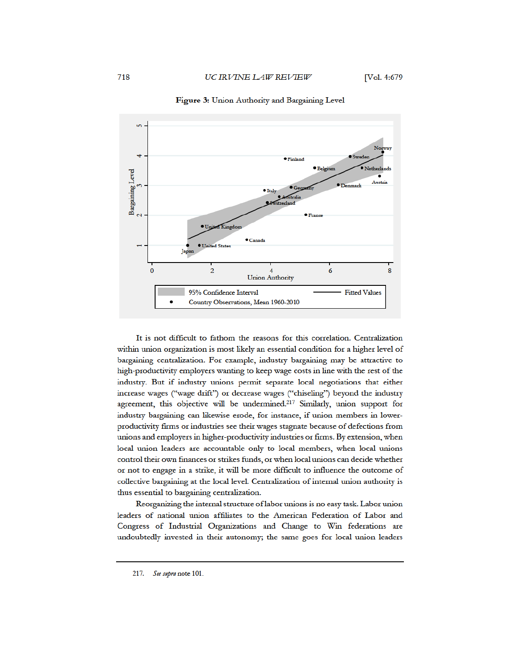

Figure 3: Union Authority and Bargaining Level

It is not difficult to fathom the reasons for this correlation. Centralization within union organization is most likely an essential condition for a higher level of bargaining centralization. For example, industry bargaining may be attractive to high-productivity employers wanting to keep wage costs in line with the rest of the industry. But if industry unions permit separate local negotiations that either increase wages ("wage drift") or decrease wages ("chiseling") beyond the industry agreement, this objective will be undermined.<sup>217</sup> Similarly, union support for industry bargaining can likewise erode, for instance, if union members in lowerproductivity firms or industries see their wages stagnate because of defections from unions and employers in higher-productivity industries or firms. By extension, when local union leaders are accountable only to local members, when local unions control their own finances or strikes funds, or when local unions can decide whether or not to engage in a strike, it will be more difficult to influence the outcome of collective bargaining at the local level. Centralization of internal union authority is thus essential to bargaining centralization.

Reorganizing the internal structure of labor unions is no easy task. Labor union leaders of national union affiliates to the American Federation of Labor and Congress of Industrial Organizations and Change to Win federations are undoubtedly invested in their autonomy; the same goes for local union leaders

<sup>217.</sup> See supra note 101.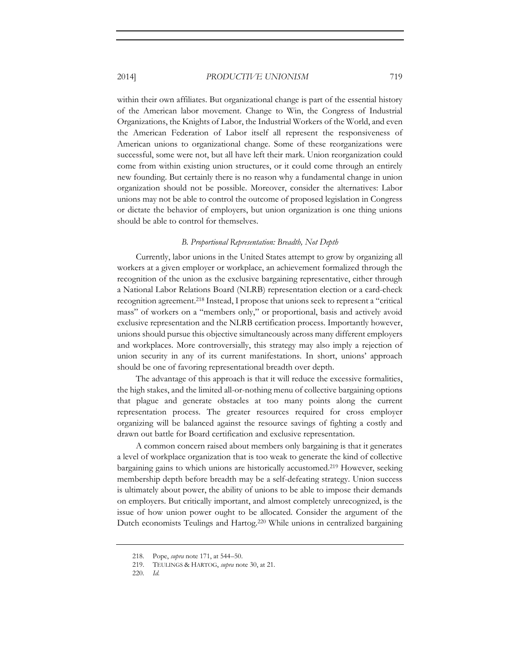within their own affiliates. But organizational change is part of the essential history of the American labor movement. Change to Win, the Congress of Industrial Organizations, the Knights of Labor, the Industrial Workers of the World, and even the American Federation of Labor itself all represent the responsiveness of American unions to organizational change. Some of these reorganizations were successful, some were not, but all have left their mark. Union reorganization could come from within existing union structures, or it could come through an entirely new founding. But certainly there is no reason why a fundamental change in union organization should not be possible. Moreover, consider the alternatives: Labor unions may not be able to control the outcome of proposed legislation in Congress or dictate the behavior of employers, but union organization is one thing unions should be able to control for themselves.

#### *B. Proportional Representation: Breadth, Not Depth*

Currently, labor unions in the United States attempt to grow by organizing all workers at a given employer or workplace, an achievement formalized through the recognition of the union as the exclusive bargaining representative, either through a National Labor Relations Board (NLRB) representation election or a card-check recognition agreement.218 Instead, I propose that unions seek to represent a "critical mass" of workers on a "members only," or proportional, basis and actively avoid exclusive representation and the NLRB certification process. Importantly however, unions should pursue this objective simultaneously across many different employers and workplaces. More controversially, this strategy may also imply a rejection of union security in any of its current manifestations. In short, unions' approach should be one of favoring representational breadth over depth.

The advantage of this approach is that it will reduce the excessive formalities, the high stakes, and the limited all-or-nothing menu of collective bargaining options that plague and generate obstacles at too many points along the current representation process. The greater resources required for cross employer organizing will be balanced against the resource savings of fighting a costly and drawn out battle for Board certification and exclusive representation.

A common concern raised about members only bargaining is that it generates a level of workplace organization that is too weak to generate the kind of collective bargaining gains to which unions are historically accustomed.219 However, seeking membership depth before breadth may be a self-defeating strategy. Union success is ultimately about power, the ability of unions to be able to impose their demands on employers. But critically important, and almost completely unrecognized, is the issue of how union power ought to be allocated. Consider the argument of the Dutch economists Teulings and Hartog.220 While unions in centralized bargaining

<sup>218.</sup> Pope, *supra* note 171, at 544–50.

<sup>219.</sup> TEULINGS & HARTOG, *supra* note 30, at 21.

<sup>220</sup>*. Id.*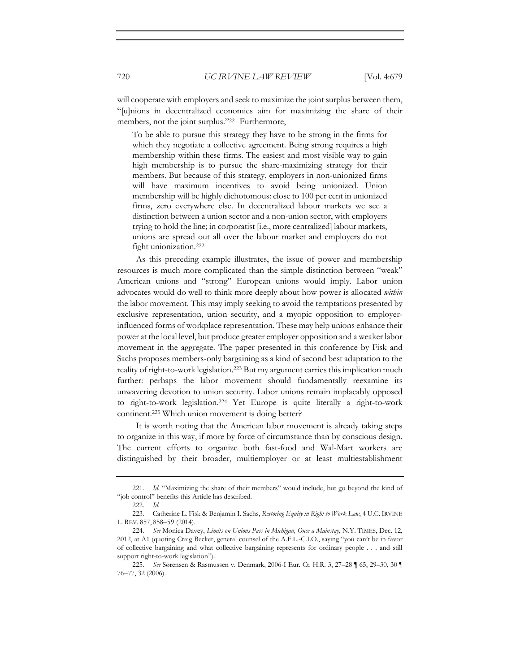will cooperate with employers and seek to maximize the joint surplus between them, "[u]nions in decentralized economies aim for maximizing the share of their members, not the joint surplus."221 Furthermore,

To be able to pursue this strategy they have to be strong in the firms for which they negotiate a collective agreement. Being strong requires a high membership within these firms. The easiest and most visible way to gain high membership is to pursue the share-maximizing strategy for their members. But because of this strategy, employers in non-unionized firms will have maximum incentives to avoid being unionized. Union membership will be highly dichotomous: close to 100 per cent in unionized firms, zero everywhere else. In decentralized labour markets we see a distinction between a union sector and a non-union sector, with employers trying to hold the line; in corporatist [i.e., more centralized] labour markets, unions are spread out all over the labour market and employers do not fight unionization.222

As this preceding example illustrates, the issue of power and membership resources is much more complicated than the simple distinction between "weak" American unions and "strong" European unions would imply. Labor union advocates would do well to think more deeply about how power is allocated *within* the labor movement. This may imply seeking to avoid the temptations presented by exclusive representation, union security, and a myopic opposition to employerinfluenced forms of workplace representation. These may help unions enhance their power at the local level, but produce greater employer opposition and a weaker labor movement in the aggregate. The paper presented in this conference by Fisk and Sachs proposes members-only bargaining as a kind of second best adaptation to the reality of right-to-work legislation.223 But my argument carries this implication much further: perhaps the labor movement should fundamentally reexamine its unwavering devotion to union security. Labor unions remain implacably opposed to right-to-work legislation.224 Yet Europe is quite literally a right-to-work continent.225 Which union movement is doing better?

It is worth noting that the American labor movement is already taking steps to organize in this way, if more by force of circumstance than by conscious design. The current efforts to organize both fast-food and Wal-Mart workers are distinguished by their broader, multiemployer or at least multiestablishment

<sup>221</sup>*. Id.* "Maximizing the share of their members" would include, but go beyond the kind of "job control" benefits this Article has described.

<sup>222</sup>*. Id.*

<sup>223.</sup> Catherine L. Fisk & Benjamin I. Sachs, *Restoring Equity in Right to Work Law*, 4 U.C. IRVINE L. REV. 857, 858–59 (2014).

<sup>224</sup>*. See* Monica Davey, *Limits on Unions Pass in Michigan, Once a Mainstay*, N.Y. TIMES, Dec. 12, 2012, at A1 (quoting Craig Becker, general counsel of the A.F.L.-C.I.O., saying "you can't be in favor of collective bargaining and what collective bargaining represents for ordinary people . . . and still support right-to-work legislation").

<sup>225</sup>*. See* Sørensen & Rasmussen v. Denmark, 2006-I Eur. Ct. H.R. 3, 27–28 ¶ 65, 29–30, 30 ¶ 76–77, 32 (2006).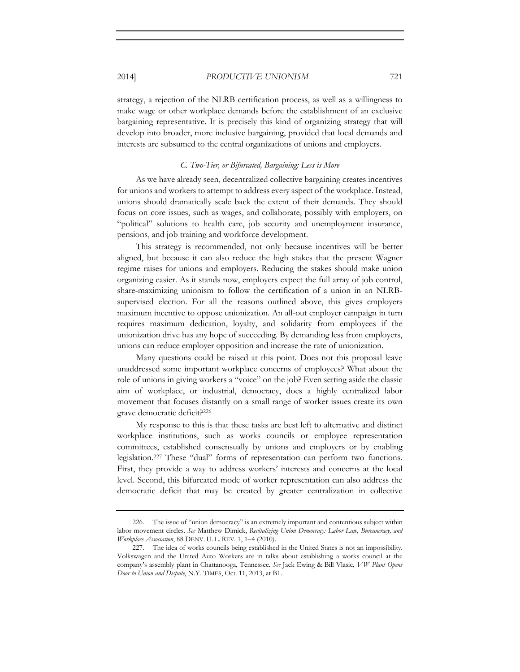strategy, a rejection of the NLRB certification process, as well as a willingness to make wage or other workplace demands before the establishment of an exclusive bargaining representative. It is precisely this kind of organizing strategy that will develop into broader, more inclusive bargaining, provided that local demands and interests are subsumed to the central organizations of unions and employers.

#### *C. Two-Tier, or Bifurcated, Bargaining: Less is More*

As we have already seen, decentralized collective bargaining creates incentives for unions and workers to attempt to address every aspect of the workplace. Instead, unions should dramatically scale back the extent of their demands. They should focus on core issues, such as wages, and collaborate, possibly with employers, on "political" solutions to health care, job security and unemployment insurance, pensions, and job training and workforce development.

This strategy is recommended, not only because incentives will be better aligned, but because it can also reduce the high stakes that the present Wagner regime raises for unions and employers. Reducing the stakes should make union organizing easier. As it stands now, employers expect the full array of job control, share-maximizing unionism to follow the certification of a union in an NLRBsupervised election. For all the reasons outlined above, this gives employers maximum incentive to oppose unionization. An all-out employer campaign in turn requires maximum dedication, loyalty, and solidarity from employees if the unionization drive has any hope of succeeding. By demanding less from employers, unions can reduce employer opposition and increase the rate of unionization.

Many questions could be raised at this point. Does not this proposal leave unaddressed some important workplace concerns of employees? What about the role of unions in giving workers a "voice" on the job? Even setting aside the classic aim of workplace, or industrial, democracy, does a highly centralized labor movement that focuses distantly on a small range of worker issues create its own grave democratic deficit?226

My response to this is that these tasks are best left to alternative and distinct workplace institutions, such as works councils or employee representation committees, established consensually by unions and employers or by enabling legislation.227 These "dual" forms of representation can perform two functions. First, they provide a way to address workers' interests and concerns at the local level. Second, this bifurcated mode of worker representation can also address the democratic deficit that may be created by greater centralization in collective

<sup>226.</sup> The issue of "union democracy" is an extremely important and contentious subject within labor movement circles. *See* Matthew Dimick, *Revitalizing Union Democracy: Labor Law, Bureaucracy, and Workplace Association*, 88 DENV. U. L. REV. 1, 1–4 (2010).

<sup>227.</sup> The idea of works councils being established in the United States is not an impossibility. Volkswagen and the United Auto Workers are in talks about establishing a works council at the company's assembly plant in Chattanooga, Tennessee. *See* Jack Ewing & Bill Vlasic, *VW Plant Opens Door to Union and Dispute*, N.Y. TIMES, Oct. 11, 2013, at B1.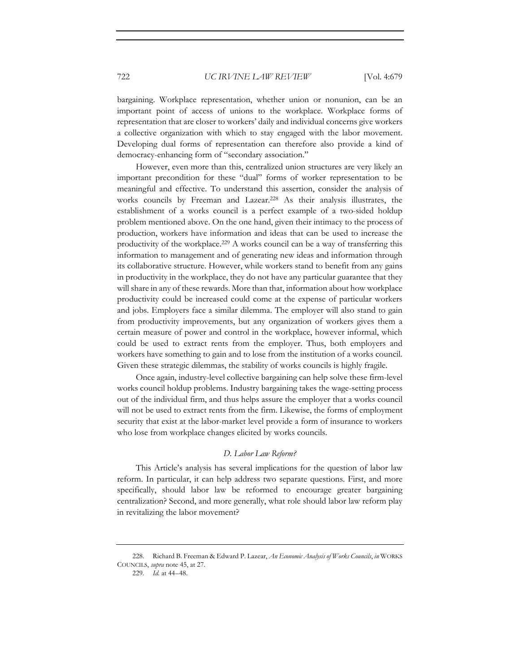bargaining. Workplace representation, whether union or nonunion, can be an important point of access of unions to the workplace. Workplace forms of representation that are closer to workers' daily and individual concerns give workers a collective organization with which to stay engaged with the labor movement. Developing dual forms of representation can therefore also provide a kind of democracy-enhancing form of "secondary association."

However, even more than this, centralized union structures are very likely an important precondition for these "dual" forms of worker representation to be meaningful and effective. To understand this assertion, consider the analysis of works councils by Freeman and Lazear.228 As their analysis illustrates, the establishment of a works council is a perfect example of a two-sided holdup problem mentioned above. On the one hand, given their intimacy to the process of production, workers have information and ideas that can be used to increase the productivity of the workplace.229 A works council can be a way of transferring this information to management and of generating new ideas and information through its collaborative structure. However, while workers stand to benefit from any gains in productivity in the workplace, they do not have any particular guarantee that they will share in any of these rewards. More than that, information about how workplace productivity could be increased could come at the expense of particular workers and jobs. Employers face a similar dilemma. The employer will also stand to gain from productivity improvements, but any organization of workers gives them a certain measure of power and control in the workplace, however informal, which could be used to extract rents from the employer. Thus, both employers and workers have something to gain and to lose from the institution of a works council. Given these strategic dilemmas, the stability of works councils is highly fragile.

Once again, industry-level collective bargaining can help solve these firm-level works council holdup problems. Industry bargaining takes the wage-setting process out of the individual firm, and thus helps assure the employer that a works council will not be used to extract rents from the firm. Likewise, the forms of employment security that exist at the labor-market level provide a form of insurance to workers who lose from workplace changes elicited by works councils.

#### *D. Labor Law Reform?*

This Article's analysis has several implications for the question of labor law reform. In particular, it can help address two separate questions. First, and more specifically, should labor law be reformed to encourage greater bargaining centralization? Second, and more generally, what role should labor law reform play in revitalizing the labor movement?

<sup>228.</sup> Richard B. Freeman & Edward P. Lazear, *An Economic Analysis of Works Councils*, *in* WORKS COUNCILS, *supra* note 45, at 27.

<sup>229</sup>*. Id.* at 44–48.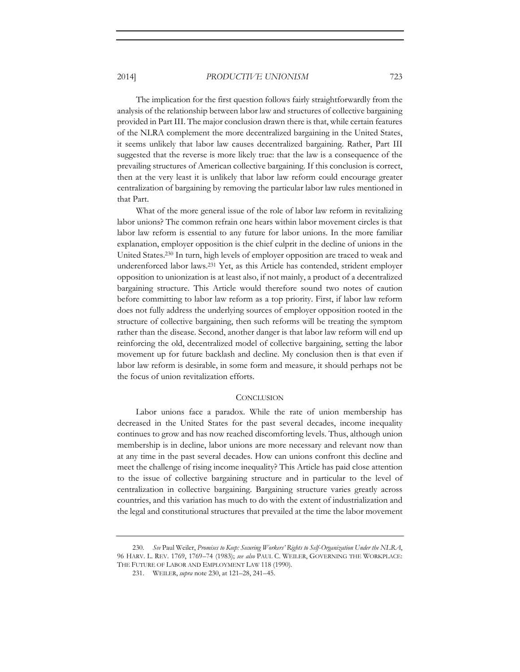The implication for the first question follows fairly straightforwardly from the analysis of the relationship between labor law and structures of collective bargaining provided in Part III. The major conclusion drawn there is that, while certain features of the NLRA complement the more decentralized bargaining in the United States, it seems unlikely that labor law causes decentralized bargaining. Rather, Part III suggested that the reverse is more likely true: that the law is a consequence of the prevailing structures of American collective bargaining. If this conclusion is correct, then at the very least it is unlikely that labor law reform could encourage greater centralization of bargaining by removing the particular labor law rules mentioned in that Part.

What of the more general issue of the role of labor law reform in revitalizing labor unions? The common refrain one hears within labor movement circles is that labor law reform is essential to any future for labor unions. In the more familiar explanation, employer opposition is the chief culprit in the decline of unions in the United States.230 In turn, high levels of employer opposition are traced to weak and underenforced labor laws.231 Yet, as this Article has contended, strident employer opposition to unionization is at least also, if not mainly, a product of a decentralized bargaining structure. This Article would therefore sound two notes of caution before committing to labor law reform as a top priority. First, if labor law reform does not fully address the underlying sources of employer opposition rooted in the structure of collective bargaining, then such reforms will be treating the symptom rather than the disease. Second, another danger is that labor law reform will end up reinforcing the old, decentralized model of collective bargaining, setting the labor movement up for future backlash and decline. My conclusion then is that even if labor law reform is desirable, in some form and measure, it should perhaps not be the focus of union revitalization efforts.

#### **CONCLUSION**

Labor unions face a paradox. While the rate of union membership has decreased in the United States for the past several decades, income inequality continues to grow and has now reached discomforting levels. Thus, although union membership is in decline, labor unions are more necessary and relevant now than at any time in the past several decades. How can unions confront this decline and meet the challenge of rising income inequality? This Article has paid close attention to the issue of collective bargaining structure and in particular to the level of centralization in collective bargaining. Bargaining structure varies greatly across countries, and this variation has much to do with the extent of industrialization and the legal and constitutional structures that prevailed at the time the labor movement

<sup>230</sup>*. See* Paul Weiler, *Promises to Keep: Securing Workers' Rights to Self-Organization Under the NLRA*, 96 HARV. L. REV. 1769, 1769–74 (1983); *see also* PAUL C. WEILER, GOVERNING THE WORKPLACE: THE FUTURE OF LABOR AND EMPLOYMENT LAW 118 (1990).

<sup>231.</sup> WEILER, *supra* note 230, at 121–28, 241–45.